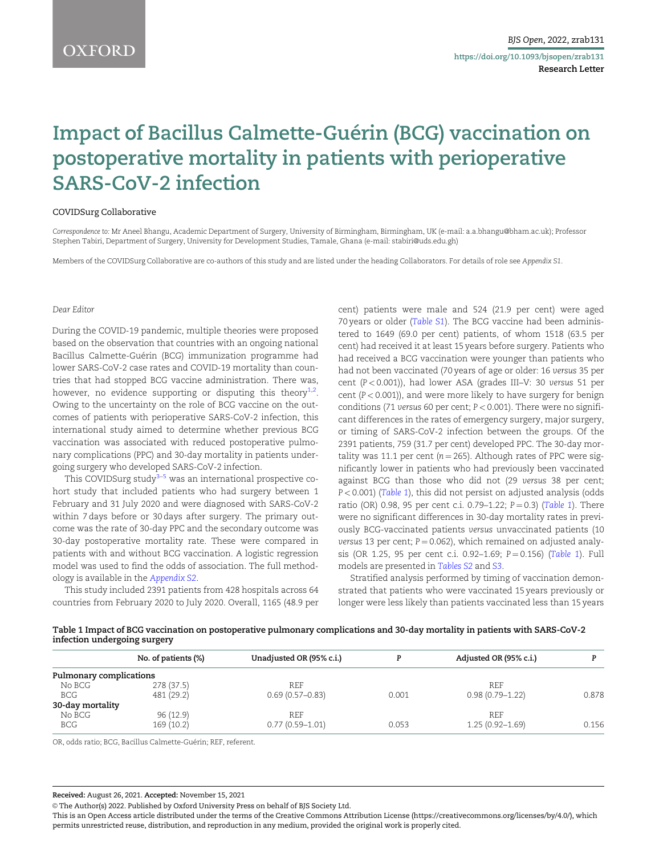# <span id="page-0-0"></span>Impact of Bacillus Calmette-Guérin (BCG) vaccination on postoperative mortality in patients with perioperative SARS-CoV-2 infection

#### COVIDSurg Collaborative

Correspondence to: Mr Aneel Bhangu, Academic Department of Surgery, University of Birmingham, Birmingham, UK (e-mail: a.a.bhangu@bham.ac.uk); Professor Stephen Tabiri, Department of Surgery, University for Development Studies, Tamale, Ghana (e-mail: stabiri@uds.edu.gh)

Members of the COVIDSurg Collaborative are co-authors of this study and are listed under the heading Collaborators. For details of role see Appendix S1.

#### Dear Editor

During the COVID-19 pandemic, multiple theories were proposed based on the observation that countries with an ongoing national Bacillus Calmette-Guérin (BCG) immunization programme had lower SARS-CoV-2 case rates and COVID-19 mortality than countries that had stopped BCG vaccine administration. There was, however, no evidence supporting or disputing this theory $^{\scriptstyle 1,2}.$  $^{\scriptstyle 1,2}.$  $^{\scriptstyle 1,2}.$ Owing to the uncertainty on the role of BCG vaccine on the outcomes of patients with perioperative SARS-CoV-2 infection, this international study aimed to determine whether previous BCG vaccination was associated with reduced postoperative pulmonary complications (PPC) and 30-day mortality in patients undergoing surgery who developed SARS-CoV-2 infection.

This COVIDSurg study $3-5$  was an international prospective cohort study that included patients who had surgery between 1 February and 31 July 2020 and were diagnosed with SARS-CoV-2 within 7 days before or 30 days after surgery. The primary outcome was the rate of 30-day PPC and the secondary outcome was 30-day postoperative mortality rate. These were compared in patients with and without BCG vaccination. A logistic regression model was used to find the odds of association. The full methodology is available in the [Appendix S2](https://academic.oup.com/bjsopen/article-lookup/doi/10.1093/bjsopen/zrab131#supplementary-data).

This study included 2391 patients from 428 hospitals across 64 countries from February 2020 to July 2020. Overall, 1165 (48.9 per

cent) patients were male and 524 (21.9 per cent) were aged 70 years or older ([Table S1](https://academic.oup.com/bjsopen/article-lookup/doi/10.1093/bjsopen/zrab131#supplementary-data)). The BCG vaccine had been administered to 1649 (69.0 per cent) patients, of whom 1518 (63.5 per cent) had received it at least 15 years before surgery. Patients who had received a BCG vaccination were younger than patients who had not been vaccinated (70 years of age or older: 16 versus 35 per cent (P < 0.001)), had lower ASA (grades III–V: 30 versus 51 per cent  $(P < 0.001)$ ), and were more likely to have surgery for benign conditions (71 versus 60 per cent;  $P < 0.001$ ). There were no significant differences in the rates of emergency surgery, major surgery, or timing of SARS-CoV-2 infection between the groups. Of the 2391 patients, 759 (31.7 per cent) developed PPC. The 30-day mortality was 11.1 per cent ( $n = 265$ ). Although rates of PPC were significantly lower in patients who had previously been vaccinated against BCG than those who did not (29 versus 38 per cent; P < 0.001) (Table 1), this did not persist on adjusted analysis (odds ratio (OR) 0.98, 95 per cent c.i. 0.79-1.22;  $P = 0.3$ ) (Table 1). There were no significant differences in 30-day mortality rates in previously BCG-vaccinated patients versus unvaccinated patients (10 versus 13 per cent;  $P = 0.062$ ), which remained on adjusted analysis (OR 1.25, 95 per cent c.i. 0.92-1.69;  $P = 0.156$ ) (Table 1). Full models are presented in [Tables S2](https://academic.oup.com/bjsopen/article-lookup/doi/10.1093/bjsopen/zrab131#supplementary-data) and [S3](https://academic.oup.com/bjsopen/article-lookup/doi/10.1093/bjsopen/zrab131#supplementary-data).

Stratified analysis performed by timing of vaccination demonstrated that patients who were vaccinated 15 years previously or longer were less likely than patients vaccinated less than 15 years

| Table 1 Impact of BCG vaccination on postoperative pulmonary complications and 30-day mortality in patients with SARS-CoV-2 |  |  |
|-----------------------------------------------------------------------------------------------------------------------------|--|--|
| infection undergoing surgery                                                                                                |  |  |

|                         | No. of patients (%) | Unadjusted OR (95% c.i.) |       | Adjusted OR (95% c.i.) |       |
|-------------------------|---------------------|--------------------------|-------|------------------------|-------|
| Pulmonary complications |                     |                          |       |                        |       |
| No BCG                  | 278 (37.5)          | REF                      |       | REF                    |       |
| BCG                     | 481 (29.2)          | $0.69(0.57 - 0.83)$      | 0.001 | $0.98(0.79 - 1.22)$    | 0.878 |
| 30-day mortality        |                     |                          |       |                        |       |
| No BCG                  | 96 (12.9)           | REF                      |       | REF                    |       |
| <b>BCG</b>              | 169 (10.2)          | $0.77(0.59 - 1.01)$      | 0.053 | $1.25(0.92 - 1.69)$    | 0.156 |

OR, odds ratio; BCG, Bacillus Calmette-Guérin; REF, referent.

Received: August 26, 2021. Accepted: November 15, 2021

© The Author(s) 2022. Published by Oxford University Press on behalf of BJS Society Ltd.

This is an Open Access article distributed under the terms of the Creative Commons Attribution License (https://creativecommons.org/licenses/by/4.0/), which permits unrestricted reuse, distribution, and reproduction in any medium, provided the original work is properly cited.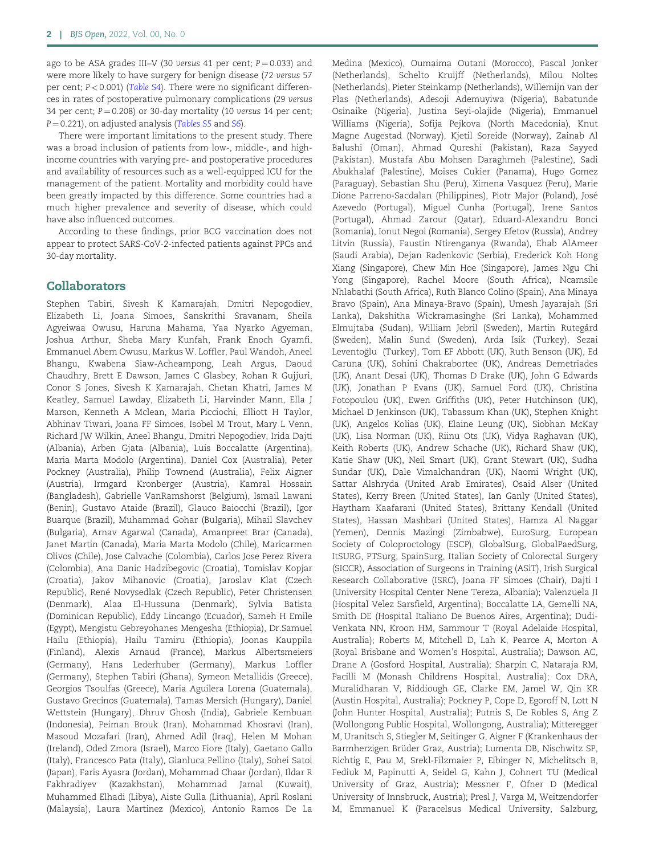ago to be ASA grades III–V (30 versus 41 per cent;  $P = 0.033$ ) and were more likely to have surgery for benign disease (72 versus 57 per cent; P < 0.001) ([Table S4](https://academic.oup.com/bjsopen/article-lookup/doi/10.1093/bjsopen/zrab131#supplementary-data)). There were no significant differences in rates of postoperative pulmonary complications (29 versus 34 per cent;  $P = 0.208$ ) or 30-day mortality (10 versus 14 per cent;  $P = 0.221$ ), on adjusted analysis ([Tables S5](https://academic.oup.com/bjsopen/article-lookup/doi/10.1093/bjsopen/zrab131#supplementary-data) and [S6](https://academic.oup.com/bjsopen/article-lookup/doi/10.1093/bjsopen/zrab131#supplementary-data)).

There were important limitations to the present study. There was a broad inclusion of patients from low-, middle-, and highincome countries with varying pre- and postoperative procedures and availability of resources such as a well-equipped ICU for the management of the patient. Mortality and morbidity could have been greatly impacted by this difference. Some countries had a much higher prevalence and severity of disease, which could have also influenced outcomes.

According to these findings, prior BCG vaccination does not appear to protect SARS-CoV-2-infected patients against PPCs and 30-day mortality.

#### Collaborators

Stephen Tabiri, Sivesh K Kamarajah, Dmitri Nepogodiev, Elizabeth Li, Joana Simoes, Sanskrithi Sravanam, Sheila Agyeiwaa Owusu, Haruna Mahama, Yaa Nyarko Agyeman, Joshua Arthur, Sheba Mary Kunfah, Frank Enoch Gyamfi, Emmanuel Abem Owusu, Markus W. Loffler, Paul Wandoh, Aneel Bhangu, Kwabena Siaw-Acheampong, Leah Argus, Daoud Chaudhry, Brett E Dawson, James C Glasbey, Rohan R Gujjuri, Conor S Jones, Sivesh K Kamarajah, Chetan Khatri, James M Keatley, Samuel Lawday, Elizabeth Li, Harvinder Mann, Ella J Marson, Kenneth A Mclean, Maria Picciochi, Elliott H Taylor, Abhinav Tiwari, Joana FF Simoes, Isobel M Trout, Mary L Venn, Richard JW Wilkin, Aneel Bhangu, Dmitri Nepogodiev, Irida Dajti (Albania), Arben Gjata (Albania), Luis Boccalatte (Argentina), Maria Marta Modolo (Argentina), Daniel Cox (Australia), Peter Pockney (Australia), Philip Townend (Australia), Felix Aigner (Austria), Irmgard Kronberger (Austria), Kamral Hossain (Bangladesh), Gabrielle VanRamshorst (Belgium), Ismail Lawani (Benin), Gustavo Ataide (Brazil), Glauco Baiocchi (Brazil), Igor Buarque (Brazil), Muhammad Gohar (Bulgaria), Mihail Slavchev (Bulgaria), Arnav Agarwal (Canada), Amanpreet Brar (Canada), Janet Martin (Canada), Maria Marta Modolo (Chile), Maricarmen Olivos (Chile), Jose Calvache (Colombia), Carlos Jose Perez Rivera (Colombia), Ana Danic Hadzibegovic (Croatia), Tomislav Kopjar (Croatia), Jakov Mihanovic (Croatia), Jaroslav Klat (Czech Republic), René Novysedlak (Czech Republic), Peter Christensen (Denmark), Alaa El-Hussuna (Denmark), Sylvia Batista (Dominican Republic), Eddy Lincango (Ecuador), Sameh H Emile (Egypt), Mengistu Gebreyohanes Mengesha (Ethiopia), Dr.Samuel Hailu (Ethiopia), Hailu Tamiru (Ethiopia), Joonas Kauppila (Finland), Alexis Arnaud (France), Markus Albertsmeiers (Germany), Hans Lederhuber (Germany), Markus Loffler (Germany), Stephen Tabiri (Ghana), Symeon Metallidis (Greece), Georgios Tsoulfas (Greece), Maria Aguilera Lorena (Guatemala), Gustavo Grecinos (Guatemala), Tamas Mersich (Hungary), Daniel Wettstein (Hungary), Dhruv Ghosh (India), Gabriele Kembuan (Indonesia), Peiman Brouk (Iran), Mohammad Khosravi (Iran), Masoud Mozafari (Iran), Ahmed Adil (Iraq), Helen M Mohan (Ireland), Oded Zmora (Israel), Marco Fiore (Italy), Gaetano Gallo (Italy), Francesco Pata (Italy), Gianluca Pellino (Italy), Sohei Satoi (Japan), Faris Ayasra (Jordan), Mohammad Chaar (Jordan), Ildar R Fakhradiyev (Kazakhstan), Mohammad Jamal (Kuwait), Muhammed Elhadi (Libya), Aiste Gulla (Lithuania), April Roslani (Malaysia), Laura Martinez (Mexico), Antonio Ramos De La

Medina (Mexico), Oumaima Outani (Morocco), Pascal Jonker (Netherlands), Schelto Kruijff (Netherlands), Milou Noltes (Netherlands), Pieter Steinkamp (Netherlands), Willemijn van der Plas (Netherlands), Adesoji Ademuyiwa (Nigeria), Babatunde Osinaike (Nigeria), Justina Seyi-olajide (Nigeria), Emmanuel Williams (Nigeria), Sofija Pejkova (North Macedonia), Knut Magne Augestad (Norway), Kjetil Soreide (Norway), Zainab Al Balushi (Oman), Ahmad Qureshi (Pakistan), Raza Sayyed (Pakistan), Mustafa Abu Mohsen Daraghmeh (Palestine), Sadi Abukhalaf (Palestine), Moises Cukier (Panama), Hugo Gomez (Paraguay), Sebastian Shu (Peru), Ximena Vasquez (Peru), Marie Dione Parreno-Sacdalan (Philippines), Piotr Major (Poland), Jose´ Azevedo (Portugal), Miguel Cunha (Portugal), Irene Santos (Portugal), Ahmad Zarour (Qatar), Eduard-Alexandru Bonci (Romania), Ionut Negoi (Romania), Sergey Efetov (Russia), Andrey Litvin (Russia), Faustin Ntirenganya (Rwanda), Ehab AlAmeer (Saudi Arabia), Dejan Radenkovic (Serbia), Frederick Koh Hong Xiang (Singapore), Chew Min Hoe (Singapore), James Ngu Chi Yong (Singapore), Rachel Moore (South Africa), Ncamsile Nhlabathi (South Africa), Ruth Blanco Colino (Spain), Ana Minaya Bravo (Spain), Ana Minaya-Bravo (Spain), Umesh Jayarajah (Sri Lanka), Dakshitha Wickramasinghe (Sri Lanka), Mohammed Elmujtaba (Sudan), William Jebril (Sweden), Martin Rutegård (Sweden), Malin Sund (Sweden), Arda Isik (Turkey), Sezai Leventoglu (Turkey), Tom EF Abbott (UK), Ruth Benson (UK), Ed - Caruna (UK), Sohini Chakrabortee (UK), Andreas Demetriades (UK), Anant Desai (UK), Thomas D Drake (UK), John G Edwards (UK), Jonathan P Evans (UK), Samuel Ford (UK), Christina Fotopoulou (UK), Ewen Griffiths (UK), Peter Hutchinson (UK), Michael D Jenkinson (UK), Tabassum Khan (UK), Stephen Knight (UK), Angelos Kolias (UK), Elaine Leung (UK), Siobhan McKay (UK), Lisa Norman (UK), Riinu Ots (UK), Vidya Raghavan (UK), Keith Roberts (UK), Andrew Schache (UK), Richard Shaw (UK), Katie Shaw (UK), Neil Smart (UK), Grant Stewart (UK), Sudha Sundar (UK), Dale Vimalchandran (UK), Naomi Wright (UK), Sattar Alshryda (United Arab Emirates), Osaid Alser (United States), Kerry Breen (United States), Ian Ganly (United States), Haytham Kaafarani (United States), Brittany Kendall (United States), Hassan Mashbari (United States), Hamza Al Naggar (Yemen), Dennis Mazingi (Zimbabwe), EuroSurg, European Society of Coloproctology (ESCP), GlobalSurg, GlobalPaedSurg, ItSURG, PTSurg, SpainSurg, Italian Society of Colorectal Surgery (SICCR), Association of Surgeons in Training (ASiT), Irish Surgical Research Collaborative (ISRC), Joana FF Simoes (Chair), Dajti I (University Hospital Center Nene Tereza, Albania); Valenzuela JI (Hospital Velez Sarsfield, Argentina); Boccalatte LA, Gemelli NA, Smith DE (Hospital Italiano De Buenos Aires, Argentina); Dudi-Venkata NN, Kroon HM, Sammour T (Royal Adelaide Hospital, Australia); Roberts M, Mitchell D, Lah K, Pearce A, Morton A (Royal Brisbane and Women's Hospital, Australia); Dawson AC, Drane A (Gosford Hospital, Australia); Sharpin C, Nataraja RM, Pacilli M (Monash Childrens Hospital, Australia); Cox DRA, Muralidharan V, Riddiough GE, Clarke EM, Jamel W, Qin KR (Austin Hospital, Australia); Pockney P, Cope D, Egoroff N, Lott N (John Hunter Hospital, Australia); Putnis S, De Robles S, Ang Z (Wollongong Public Hospital, Wollongong, Australia); Mitteregger M, Uranitsch S, Stiegler M, Seitinger G, Aigner F (Krankenhaus der Barmherzigen Brüder Graz, Austria); Lumenta DB, Nischwitz SP, Richtig E, Pau M, Srekl-Filzmaier P, Eibinger N, Michelitsch B, Fediuk M, Papinutti A, Seidel G, Kahn J, Cohnert TU (Medical University of Graz, Austria); Messner F, Öfner D (Medical University of Innsbruck, Austria); Presl J, Varga M, Weitzendorfer M, Emmanuel K (Paracelsus Medical University, Salzburg,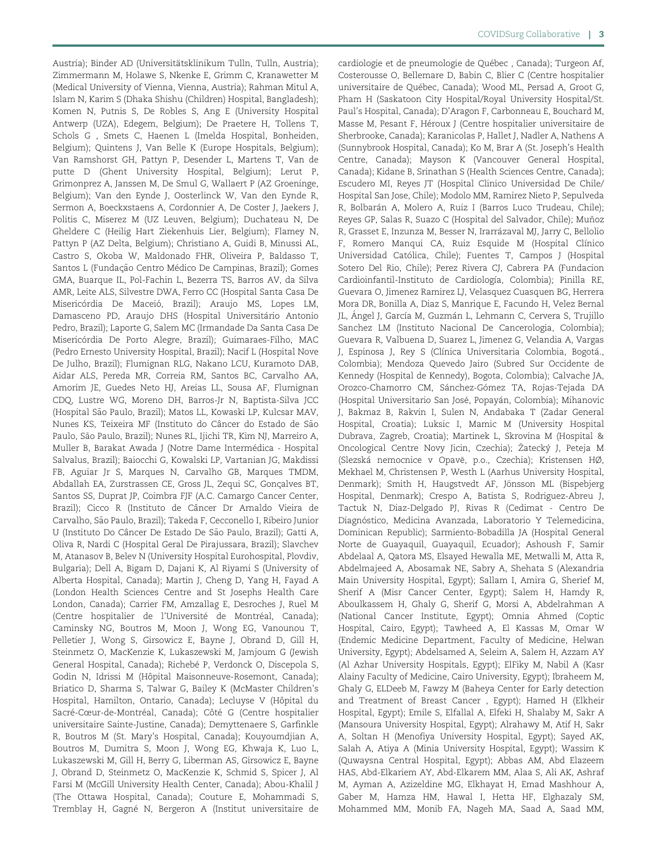Austria); Binder AD (Universitätsklinikum Tulln, Tulln, Austria); Zimmermann M, Holawe S, Nkenke E, Grimm C, Kranawetter M (Medical University of Vienna, Vienna, Austria); Rahman Mitul A, Islam N, Karim S (Dhaka Shishu (Children) Hospital, Bangladesh); Komen N, Putnis S, De Robles S, Ang E (University Hospital Antwerp (UZA), Edegem, Belgium); De Praetere H, Tollens T, Schols G , Smets C, Haenen L (Imelda Hospital, Bonheiden, Belgium); Quintens J, Van Belle K (Europe Hospitals, Belgium); Van Ramshorst GH, Pattyn P, Desender L, Martens T, Van de putte D (Ghent University Hospital, Belgium); Lerut P, Grimonprez A, Janssen M, De Smul G, Wallaert P (AZ Groeninge, Belgium); Van den Eynde J, Oosterlinck W, Van den Eynde R, Sermon A, Boeckxstaens A, Cordonnier A, De Coster J, Jaekers J, Politis C, Miserez M (UZ Leuven, Belgium); Duchateau N, De Gheldere C (Heilig Hart Ziekenhuis Lier, Belgium); Flamey N, Pattyn P (AZ Delta, Belgium); Christiano A, Guidi B, Minussi AL, Castro S, Okoba W, Maldonado FHR, Oliveira P, Baldasso T, Santos L (Fundação Centro Médico De Campinas, Brazil); Gomes GMA, Buarque IL, Pol-Fachin L, Bezerra TS, Barros AV, da Silva AMR, Leite ALS, Silvestre DWA, Ferro CC (Hospital Santa Casa De Misericórdia De Maceió, Brazil); Araujo MS, Lopes LM, Damasceno PD, Araujo DHS (Hospital Universitário Antonio Pedro, Brazil); Laporte G, Salem MC (Irmandade Da Santa Casa De Misericórdia De Porto Alegre, Brazil); Guimaraes-Filho, MAC (Pedro Ernesto University Hospital, Brazil); Nacif L (Hospital Nove De Julho, Brazil); Flumignan RLG, Nakano LCU, Kuramoto DAB, Aidar ALS, Pereda MR, Correia RM, Santos BC, Carvalho AA, Amorim JE, Guedes Neto HJ, Areias LL, Sousa AF, Flumignan CDQ, Lustre WG, Moreno DH, Barros-Jr N, Baptista-Silva JCC (Hospital São Paulo, Brazil); Matos LL, Kowaski LP, Kulcsar MAV, Nunes KS, Teixeira MF (Instituto do Câncer do Estado de São Paulo, Sao Paulo, Brazil); Nunes RL, Ijichi TR, Kim NJ, Marreiro A, ~ Muller B, Barakat Awada J (Notre Dame Intermédica - Hospital Salvalus, Brazil); Baiocchi G, Kowalski LP, Vartanian JG, Makdissi FB, Aguiar Jr S, Marques N, Carvalho GB, Marques TMDM, Abdallah EA, Zurstrassen CE, Gross JL, Zequi SC, Gonçalves BT, Santos SS, Duprat JP, Coimbra FJF (A.C. Camargo Cancer Center, Brazil); Cicco R (Instituto de Câncer Dr Arnaldo Vieira de Carvalho, Sao Paulo, Brazil); Takeda F, Cecconello I, Ribeiro Junior ~ U (Instituto Do Câncer De Estado De São Paulo, Brazil); Gatti A, Oliva R, Nardi C (Hospital Geral De Pirajussara, Brazil); Slavchev M, Atanasov B, Belev N (University Hospital Eurohospital, Plovdiv, Bulgaria); Dell A, Bigam D, Dajani K, Al Riyami S (University of Alberta Hospital, Canada); Martin J, Cheng D, Yang H, Fayad A (London Health Sciences Centre and St Josephs Health Care London, Canada); Carrier FM, Amzallag E, Desroches J, Ruel M (Centre hospitalier de l'Université de Montréal, Canada); Caminsky NG, Boutros M, Moon J, Wong EG, Vanounou T, Pelletier J, Wong S, Girsowicz E, Bayne J, Obrand D, Gill H, Steinmetz O, MacKenzie K, Lukaszewski M, Jamjoum G (Jewish General Hospital, Canada); Richebé P, Verdonck O, Discepola S, Godin N, Idrissi M (Hôpital Maisonneuve-Rosemont, Canada); Briatico D, Sharma S, Talwar G, Bailey K (McMaster Children's Hospital, Hamilton, Ontario, Canada); Lecluyse V (Hôpital du Sacré-Cœur-de-Montréal, Canada); Côté G (Centre hospitalier universitaire Sainte-Justine, Canada); Demyttenaere S, Garfinkle R, Boutros M (St. Mary's Hospital, Canada); Kouyoumdjian A, Boutros M, Dumitra S, Moon J, Wong EG, Khwaja K, Luo L, Lukaszewski M, Gill H, Berry G, Liberman AS, Girsowicz E, Bayne J, Obrand D, Steinmetz O, MacKenzie K, Schmid S, Spicer J, Al Farsi M (McGill University Health Center, Canada); Abou-Khalil J (The Ottawa Hospital, Canada); Couture E, Mohammadi S, Tremblay H, Gagné N, Bergeron A (Institut universitaire de

cardiologie et de pneumologie de Québec, Canada); Turgeon Af, Costerousse O, Bellemare D, Babin C, Blier C (Centre hospitalier universitaire de Québec, Canada); Wood ML, Persad A, Groot G, Pham H (Saskatoon City Hospital/Royal University Hospital/St. Paul's Hospital, Canada); D'Aragon F, Carbonneau E, Bouchard M, Masse M, Pesant F, Héroux J (Centre hospitalier universitaire de Sherbrooke, Canada); Karanicolas P, Hallet J, Nadler A, Nathens A (Sunnybrook Hospital, Canada); Ko M, Brar A (St. Joseph's Health Centre, Canada); Mayson K (Vancouver General Hospital, Canada); Kidane B, Srinathan S (Health Sciences Centre, Canada); Escudero MI, Reyes JT (Hospital Clinico Universidad De Chile/ Hospital San Jose, Chile); Modolo MM, Ramirez Nieto P, Sepulveda R, Bolbarán A, Molero A, Ruiz I (Barros Luco Trudeau, Chile); Reyes GP, Salas R, Suazo C (Hospital del Salvador, Chile); Muñoz R, Grasset E, Inzunza M, Besser N, Irarrázaval MJ, Jarry C, Bellolio F, Romero Manqui CA, Ruiz Esquide M (Hospital Clínico Universidad Católica, Chile); Fuentes T, Campos J (Hospital Sotero Del Rio, Chile); Perez Rivera CJ, Cabrera PA (Fundacion Cardioinfantil-Instituto de Cardiología, Colombia); Pinilla RE, Guevara O, Jimenez Ramirez LJ, Velasquez Cuasquen BG, Herrera Mora DR, Bonilla A, Diaz S, Manrique E, Facundo H, Velez Bernal JL, Ángel J, García M, Guzmán L, Lehmann C, Cervera S, Trujillo Sanchez LM (Instituto Nacional De Cancerologia, Colombia); Guevara R, Valbuena D, Suarez L, Jimenez G, Velandia A, Vargas J, Espinosa J, Rey S (Clínica Universitaria Colombia, Bogotá., Colombia); Mendoza Quevedo Jairo (Subred Sur Occidente de Kennedy (Hospital de Kennedy), Bogota, Colombia); Calvache JA, Orozco-Chamorro CM, Sánchez-Gómez TA, Rojas-Tejada DA (Hospital Universitario San José, Popayán, Colombia); Mihanovic J, Bakmaz B, Rakvin I, Sulen N, Andabaka T (Zadar General Hospital, Croatia); Luksic I, Mamic M (University Hospital Dubrava, Zagreb, Croatia); Martinek L, Skrovina M (Hospital & Oncological Centre Novy Jicin, Czechia); Žatecký J, Peteja M (Slezska´ nemocnice v Opave, p.o., Czechia); Kristensen HØ, Mekhael M, Christensen P, Westh L (Aarhus University Hospital, Denmark); Smith H, Haugstvedt AF, Jönsson ML (Bispebjerg Hospital, Denmark); Crespo A, Batista S, Rodriguez-Abreu J, Tactuk N, Diaz-Delgado PJ, Rivas R (Cedimat - Centro De Diagnóstico, Medicina Avanzada, Laboratorio Y Telemedicina, Dominican Republic); Sarmiento-Bobadilla JA (Hospital General Norte de Guayaquil, Guayaquil, Ecuador); Ashoush F, Samir Abdelaal A, Qatora MS, Elsayed Hewalla ME, Metwalli M, Atta R, Abdelmajeed A, Abosamak NE, Sabry A, Shehata S (Alexandria Main University Hospital, Egypt); Sallam I, Amira G, Sherief M, Sherif A (Misr Cancer Center, Egypt); Salem H, Hamdy R, Aboulkassem H, Ghaly G, Sherif G, Morsi A, Abdelrahman A (National Cancer Institute, Egypt); Omnia Ahmed (Coptic Hospital, Cairo, Egypt); Tawheed A, El Kassas M, Omar W (Endemic Medicine Department, Faculty of Medicine, Helwan University, Egypt); Abdelsamed A, Seleim A, Salem H, Azzam AY (Al Azhar University Hospitals, Egypt); ElFiky M, Nabil A (Kasr Alainy Faculty of Medicine, Cairo University, Egypt); Ibraheem M, Ghaly G, ELDeeb M, Fawzy M (Baheya Center for Early detection and Treatment of Breast Cancer , Egypt); Hamed H (Elkheir Hospital, Egypt); Emile S, Elfallal A, Elfeki H, Shalaby M, Sakr A (Mansoura University Hospital, Egypt); Alrahawy M, Atif H, Sakr A, Soltan H (Menofiya University Hospital, Egypt); Sayed AK, Salah A, Atiya A (Minia University Hospital, Egypt); Wassim K (Quwaysna Central Hospital, Egypt); Abbas AM, Abd Elazeem HAS, Abd-Elkariem AY, Abd-Elkarem MM, Alaa S, Ali AK, Ashraf M, Ayman A, Azizeldine MG, Elkhayat H, Emad Mashhour A, Gaber M, Hamza HM, Hawal I, Hetta HF, Elghazaly SM, Mohammed MM, Monib FA, Nageh MA, Saad A, Saad MM,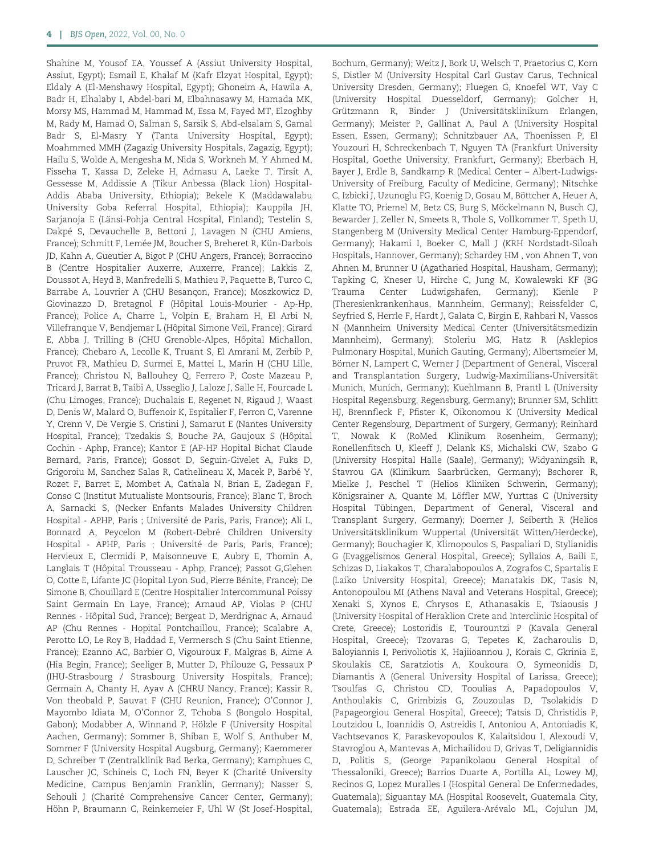Shahine M, Yousof EA, Youssef A (Assiut University Hospital, Assiut, Egypt); Esmail E, Khalaf M (Kafr Elzyat Hospital, Egypt); Eldaly A (El-Menshawy Hospital, Egypt); Ghoneim A, Hawila A, Badr H, Elhalaby I, Abdel-bari M, Elbahnasawy M, Hamada MK, Morsy MS, Hammad M, Hammad M, Essa M, Fayed MT, Elzoghby M, Rady M, Hamad O, Salman S, Sarsik S, Abd-elsalam S, Gamal Badr S, El-Masry Y (Tanta University Hospital, Egypt); Moahmmed MMH (Zagazig University Hospitals, Zagazig, Egypt); Hailu S, Wolde A, Mengesha M, Nida S, Workneh M, Y Ahmed M, Fisseha T, Kassa D, Zeleke H, Admasu A, Laeke T, Tirsit A, Gessesse M, Addissie A (Tikur Anbessa (Black Lion) Hospital-Addis Ababa University, Ethiopia); Bekele K (Maddawalabu University Goba Referral Hospital, Ethiopia); Kauppila JH, Sarjanoja E (Länsi-Pohja Central Hospital, Finland); Testelin S, Dakpé S, Devauchelle B, Bettoni J, Lavagen N (CHU Amiens, France); Schmitt F, Lemée JM, Boucher S, Breheret R, Kün-Darbois JD, Kahn A, Gueutier A, Bigot P (CHU Angers, France); Borraccino B (Centre Hospitalier Auxerre, Auxerre, France); Lakkis Z, Doussot A, Heyd B, Manfredelli S, Mathieu P, Paquette B, Turco C, Barrabe A, Louvrier A (CHU Besançon, France); Moszkowicz D, Giovinazzo D, Bretagnol F (Hôpital Louis-Mourier - Ap-Hp, France); Police A, Charre L, Volpin E, Braham H, El Arbi N, Villefranque V, Bendjemar L (Hôpital Simone Veil, France); Girard E, Abba J, Trilling B (CHU Grenoble-Alpes, Hôpital Michallon, France); Chebaro A, Lecolle K, Truant S, El Amrani M, Zerbib P, Pruvot FR, Mathieu D, Surmei E, Mattei L, Marin H (CHU Lille, France); Christou N, Ballouhey Q, Ferrero P, Coste Mazeau P, Tricard J, Barrat B, Taibi A, Usseglio J, Laloze J, Salle H, Fourcade L (Chu Limoges, France); Duchalais E, Regenet N, Rigaud J, Waast D, Denis W, Malard O, Buffenoir K, Espitalier F, Ferron C, Varenne Y, Crenn V, De Vergie S, Cristini J, Samarut E (Nantes University Hospital, France); Tzedakis S, Bouche PA, Gaujoux S (Hôpital Cochin - Aphp, France); Kantor E (AP-HP Hopital Bichat Claude Bernard, Paris, France); Gossot D, Seguin-Givelet A, Fuks D, Grigoroiu M, Sanchez Salas R, Cathelineau X, Macek P, Barbé Y, Rozet F, Barret E, Mombet A, Cathala N, Brian E, Zadegan F, Conso C (Institut Mutualiste Montsouris, France); Blanc T, Broch A, Sarnacki S, (Necker Enfants Malades University Children Hospital - APHP, Paris ; Université de Paris, Paris, France); Ali L, Bonnard A, Peycelon M (Robert-Debré Children University Hospital - APHP, Paris ; Université de Paris, Paris, France); Hervieux E, Clermidi P, Maisonneuve E, Aubry E, Thomin A, Langlais T (Hôpital Trousseau - Aphp, France); Passot G,Glehen O, Cotte E, Lifante JC (Hopital Lyon Sud, Pierre Bénite, France); De Simone B, Chouillard E (Centre Hospitalier Intercommunal Poissy Saint Germain En Laye, France); Arnaud AP, Violas P (CHU Rennes - Hôpital Sud, France); Bergeat D, Merdrignac A, Arnaud AP (Chu Rennes - Hopital Pontchaillou, France); Scalabre A, Perotto LO, Le Roy B, Haddad E, Vermersch S (Chu Saint Etienne, France); Ezanno AC, Barbier O, Vigouroux F, Malgras B, Aime A (Hia Begin, France); Seeliger B, Mutter D, Philouze G, Pessaux P (IHU-Strasbourg / Strasbourg University Hospitals, France); Germain A, Chanty H, Ayav A (CHRU Nancy, France); Kassir R, Von theobald P, Sauvat F (CHU Reunion, France); O'Connor J, Mayombo Idiata M, O'Connor Z, Tchoba S (Bongolo Hospital, Gabon); Modabber A, Winnand P, Hölzle F (University Hospital Aachen, Germany); Sommer B, Shiban E, Wolf S, Anthuber M, Sommer F (University Hospital Augsburg, Germany); Kaemmerer D, Schreiber T (Zentralklinik Bad Berka, Germany); Kamphues C, Lauscher JC, Schineis C, Loch FN, Beyer K (Charité University Medicine, Campus Benjamin Franklin, Germany); Nasser S, Sehouli J (Charité Comprehensive Cancer Center, Germany); Höhn P, Braumann C, Reinkemeier F, Uhl W (St Josef-Hospital, Bochum, Germany); Weitz J, Bork U, Welsch T, Praetorius C, Korn S, Distler M (University Hospital Carl Gustav Carus, Technical University Dresden, Germany); Fluegen G, Knoefel WT, Vay C (University Hospital Duesseldorf, Germany); Golcher H, Grützmann R, Binder J (Universitätsklinikum Erlangen, Germany); Meister P, Gallinat A, Paul A (University Hospital Essen, Essen, Germany); Schnitzbauer AA, Thoenissen P, El Youzouri H, Schreckenbach T, Nguyen TA (Frankfurt University Hospital, Goethe University, Frankfurt, Germany); Eberbach H, Bayer J, Erdle B, Sandkamp R (Medical Center – Albert-Ludwigs-University of Freiburg, Faculty of Medicine, Germany); Nitschke C, Izbicki J, Uzunoglu FG, Koenig D, Gosau M, Böttcher A, Heuer A, Klatte TO, Priemel M, Betz CS, Burg S, Möckelmann N, Busch CJ, Bewarder J, Zeller N, Smeets R, Thole S, Vollkommer T, Speth U, Stangenberg M (University Medical Center Hamburg-Eppendorf, Germany); Hakami I, Boeker C, Mall J (KRH Nordstadt-Siloah Hospitals, Hannover, Germany); Schardey HM , von Ahnen T, von Ahnen M, Brunner U (Agatharied Hospital, Hausham, Germany); Tapking C, Kneser U, Hirche C, Jung M, Kowalewski KF (BG Trauma Center Ludwigshafen, Germany); Kienle P (Theresienkrankenhaus, Mannheim, Germany); Reissfelder C, Seyfried S, Herrle F, Hardt J, Galata C, Birgin E, Rahbari N, Vassos N (Mannheim University Medical Center (Universitätsmedizin Mannheim), Germany); Stoleriu MG, Hatz R (Asklepios Pulmonary Hospital, Munich Gauting, Germany); Albertsmeier M, Börner N, Lampert C, Werner J (Department of General, Visceral and Transplantation Surgery, Ludwig-Maximilians-Universität Munich, Munich, Germany); Kuehlmann B, Prantl L (University Hospital Regensburg, Regensburg, Germany); Brunner SM, Schlitt HJ, Brennfleck F, Pfister K, Oikonomou K (University Medical Center Regensburg, Department of Surgery, Germany); Reinhard T, Nowak K (RoMed Klinikum Rosenheim, Germany); Ronellenfitsch U, Kleeff J, Delank KS, Michalski CW, Szabo G (University Hospital Halle (Saale), Germany); Widyaningsih R, Stavrou GA (Klinikum Saarbrücken, Germany); Bschorer R, Mielke J, Peschel T (Helios Kliniken Schwerin, Germany); Königsrainer A, Quante M, Löffler MW, Yurttas C (University Hospital Tübingen, Department of General, Visceral and Transplant Surgery, Germany); Doerner J, Seiberth R (Helios Universitätsklinikum Wuppertal (Universität Witten/Herdecke), Germany); Bouchagier K, Klimopoulos S, Paspaliari D, Stylianidis G (Evaggelismos General Hospital, Greece); Syllaios A, Baili E, Schizas D, Liakakos T, Charalabopoulos A, Zografos C, Spartalis E (Laiko University Hospital, Greece); Manatakis DK, Tasis N, Antonopoulou MI (Athens Naval and Veterans Hospital, Greece); Xenaki S, Xynos E, Chrysos E, Athanasakis E, Tsiaousis J (University Hospital of Heraklion Crete and Interclinic Hospital of Crete, Greece); Lostoridis E, Tourountzi P (Kavala General Hospital, Greece); Tzovaras G, Tepetes K, Zacharoulis D, Baloyiannis I, Perivoliotis K, Hajiioannou J, Korais C, Gkrinia E, Skoulakis CE, Saratziotis A, Koukoura O, Symeonidis D, Diamantis A (General University Hospital of Larissa, Greece); Tsoulfas G, Christou CD, Tooulias A, Papadopoulos V, Anthoulakis C, Grimbizis G, Zouzoulas D, Tsolakidis D (Papageorgiou General Hospital, Greece); Tatsis D, Christidis P, Loutzidou L, Ioannidis O, Astreidis I, Antoniou A, Antoniadis K, Vachtsevanos K, Paraskevopoulos K, Kalaitsidou I, Alexoudi V, Stavroglou A, Mantevas A, Michailidou D, Grivas T, Deligiannidis D, Politis S, (George Papanikolaou General Hospital of Thessaloniki, Greece); Barrios Duarte A, Portilla AL, Lowey MJ, Recinos G, Lopez Muralles I (Hospital General De Enfermedades, Guatemala); Siguantay MA (Hospital Roosevelt, Guatemala City, Guatemala); Estrada EE, Aguilera-Arévalo ML, Cojulun JM,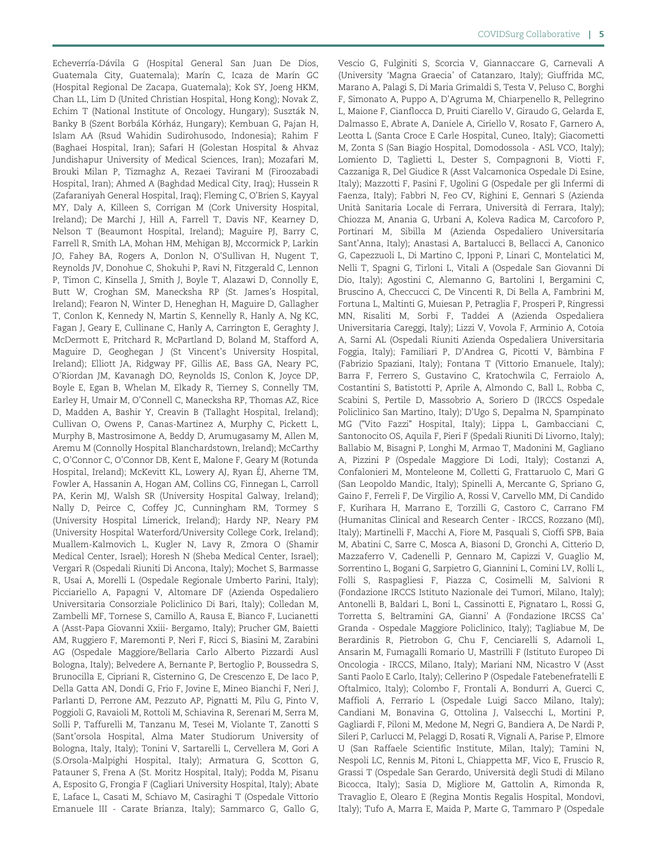Echeverría-Dávila G (Hospital General San Juan De Dios, Guatemala City, Guatemala); Marín C, Icaza de Marín GC (Hospital Regional De Zacapa, Guatemala); Kok SY, Joeng HKM, Chan LL, Lim D (United Christian Hospital, Hong Kong); Novak Z, Echim T (National Institute of Oncology, Hungary); Suszták N, Banky B (Szent Borbála Kórház, Hungary); Kembuan G, Pajan H, Islam AA (Rsud Wahidin Sudirohusodo, Indonesia); Rahim F (Baghaei Hospital, Iran); Safari H (Golestan Hospital & Ahvaz Jundishapur University of Medical Sciences, Iran); Mozafari M, Brouki Milan P, Tizmaghz A, Rezaei Tavirani M (Firoozabadi Hospital, Iran); Ahmed A (Baghdad Medical City, Iraq); Hussein R (Zafaraniyah General Hospital, Iraq); Fleming C, O'Brien S, Kayyal MY, Daly A, Killeen S, Corrigan M (Cork University Hospital, Ireland); De Marchi J, Hill A, Farrell T, Davis NF, Kearney D, Nelson T (Beaumont Hospital, Ireland); Maguire PJ, Barry C, Farrell R, Smith LA, Mohan HM, Mehigan BJ, Mccormick P, Larkin JO, Fahey BA, Rogers A, Donlon N, O'Sullivan H, Nugent T, Reynolds JV, Donohue C, Shokuhi P, Ravi N, Fitzgerald C, Lennon P, Timon C, Kinsella J, Smith J, Boyle T, Alazawi D, Connolly E, Butt W, Croghan SM, Manecksha RP (St. James's Hospital, Ireland); Fearon N, Winter D, Heneghan H, Maguire D, Gallagher T, Conlon K, Kennedy N, Martin S, Kennelly R, Hanly A, Ng KC, Fagan J, Geary E, Cullinane C, Hanly A, Carrington E, Geraghty J, McDermott E, Pritchard R, McPartland D, Boland M, Stafford A, Maguire D, Geoghegan J (St Vincent's University Hospital, Ireland); Elliott JA, Ridgway PF, Gillis AE, Bass GA, Neary PC, O'Riordan JM, Kavanagh DO, Reynolds IS, Conlon K, Joyce DP, Boyle E, Egan B, Whelan M, Elkady R, Tierney S, Connelly TM, Earley H, Umair M, O'Connell C, Manecksha RP, Thomas AZ, Rice D, Madden A, Bashir Y, Creavin B (Tallaght Hospital, Ireland); Cullivan O, Owens P, Canas-Martinez A, Murphy C, Pickett L, Murphy B, Mastrosimone A, Beddy D, Arumugasamy M, Allen M, Aremu M (Connolly Hospital Blanchardstown, Ireland); McCarthy C, O'Connor C, O'Connor DB, Kent E, Malone F, Geary M (Rotunda Hospital, Ireland); McKevitt KL, Lowery AJ, Ryan ÉJ, Aherne TM, Fowler A, Hassanin A, Hogan AM, Collins CG, Finnegan L, Carroll PA, Kerin MJ, Walsh SR (University Hospital Galway, Ireland); Nally D, Peirce C, Coffey JC, Cunningham RM, Tormey S (University Hospital Limerick, Ireland); Hardy NP, Neary PM (University Hospital Waterford/University College Cork, Ireland); Muallem-Kalmovich L, Kugler N, Lavy R, Zmora O (Shamir Medical Center, Israel); Horesh N (Sheba Medical Center, Israel); Vergari R (Ospedali Riuniti Di Ancona, Italy); Mochet S, Barmasse R, Usai A, Morelli L (Ospedale Regionale Umberto Parini, Italy); Picciariello A, Papagni V, Altomare DF (Azienda Ospedaliero Universitaria Consorziale Policlinico Di Bari, Italy); Colledan M, Zambelli MF, Tornese S, Camillo A, Rausa E, Bianco F, Lucianetti A (Asst-Papa Giovanni Xxiii- Bergamo, Italy); Prucher GM, Baietti AM, Ruggiero F, Maremonti P, Neri F, Ricci S, Biasini M, Zarabini AG (Ospedale Maggiore/Bellaria Carlo Alberto Pizzardi Ausl Bologna, Italy); Belvedere A, Bernante P, Bertoglio P, Boussedra S, Brunocilla E, Cipriani R, Cisternino G, De Crescenzo E, De Iaco P, Della Gatta AN, Dondi G, Frio F, Jovine E, Mineo Bianchi F, Neri J, Parlanti D, Perrone AM, Pezzuto AP, Pignatti M, Pilu G, Pinto V, Poggioli G, Ravaioli M, Rottoli M, Schiavina R, Serenari M, Serra M, Solli P, Taffurelli M, Tanzanu M, Tesei M, Violante T, Zanotti S (Sant'orsola Hospital, Alma Mater Studiorum University of Bologna, Italy, Italy); Tonini V, Sartarelli L, Cervellera M, Gori A (S.Orsola-Malpighi Hospital, Italy); Armatura G, Scotton G, Patauner S, Frena A (St. Moritz Hospital, Italy); Podda M, Pisanu A, Esposito G, Frongia F (Cagliari University Hospital, Italy); Abate E, Laface L, Casati M, Schiavo M, Casiraghi T (Ospedale Vittorio Emanuele III - Carate Brianza, Italy); Sammarco G, Gallo G,

Vescio G, Fulginiti S, Scorcia V, Giannaccare G, Carnevali A (University 'Magna Graecia' of Catanzaro, Italy); Giuffrida MC, Marano A, Palagi S, Di Maria Grimaldi S, Testa V, Peluso C, Borghi F, Simonato A, Puppo A, D'Agruma M, Chiarpenello R, Pellegrino L, Maione F, Cianflocca D, Pruiti Ciarello V, Giraudo G, Gelarda E, Dalmasso E, Abrate A, Daniele A, Ciriello V, Rosato F, Garnero A, Leotta L (Santa Croce E Carle Hospital, Cuneo, Italy); Giacometti M, Zonta S (San Biagio Hospital, Domodossola - ASL VCO, Italy); Lomiento D, Taglietti L, Dester S, Compagnoni B, Viotti F, Cazzaniga R, Del Giudice R (Asst Valcamonica Ospedale Di Esine, Italy); Mazzotti F, Pasini F, Ugolini G (Ospedale per gli Infermi di Faenza, Italy); Fabbri N, Feo CV, Righini E, Gennari S (Azienda Unità Sanitaria Locale di Ferrara, Università di Ferrara, Italy); Chiozza M, Anania G, Urbani A, Koleva Radica M, Carcoforo P, Portinari M, Sibilla M (Azienda Ospedaliero Universitaria Sant'Anna, Italy); Anastasi A, Bartalucci B, Bellacci A, Canonico G, Capezzuoli L, Di Martino C, Ipponi P, Linari C, Montelatici M, Nelli T, Spagni G, Tirloni L, Vitali A (Ospedale San Giovanni Di Dio, Italy); Agostini C, Alemanno G, Bartolini I, Bergamini C, Bruscino A, Checcucci C, De Vincenti R, Di Bella A, Fambrini M, Fortuna L, Maltinti G, Muiesan P, Petraglia F, Prosperi P, Ringressi MN, Risaliti M, Sorbi F, Taddei A (Azienda Ospedaliera Universitaria Careggi, Italy); Lizzi V, Vovola F, Arminio A, Cotoia A, Sarni AL (Ospedali Riuniti Azienda Ospedaliera Universitaria Foggia, Italy); Familiari P, D'Andrea G, Picotti V, Bàmbina F (Fabrizio Spaziani, Italy); Fontana T (Vittorio Emanuele, Italy); Barra F, Ferrero S, Gustavino C, Kratochwila C, Ferraiolo A, Costantini S, Batistotti P, Aprile A, Almondo C, Ball L, Robba C, Scabini S, Pertile D, Massobrio A, Soriero D (IRCCS Ospedale Policlinico San Martino, Italy); D'Ugo S, Depalma N, Spampinato MG ("Vito Fazzi" Hospital, Italy); Lippa L, Gambacciani C, Santonocito OS, Aquila F, Pieri F (Spedali Riuniti Di Livorno, Italy); Ballabio M, Bisagni P, Longhi M, Armao T, Madonini M, Gagliano A, Pizzini P (Ospedale Maggiore Di Lodi, Italy); Costanzi A, Confalonieri M, Monteleone M, Colletti G, Frattaruolo C, Mari G (San Leopoldo Mandic, Italy); Spinelli A, Mercante G, Spriano G, Gaino F, Ferreli F, De Virgilio A, Rossi V, Carvello MM, Di Candido F, Kurihara H, Marrano E, Torzilli G, Castoro C, Carrano FM (Humanitas Clinical and Research Center - IRCCS, Rozzano (MI), Italy); Martinelli F, Macchi A, Fiore M, Pasquali S, Cioffi SPB, Baia M, Abatini C, Sarre C, Mosca A, Biasoni D, Gronchi A, Citterio D, Mazzaferro V, Cadenelli P, Gennaro M, Capizzi V, Guaglio M, Sorrentino L, Bogani G, Sarpietro G, Giannini L, Comini LV, Rolli L, Folli S, Raspagliesi F, Piazza C, Cosimelli M, Salvioni R (Fondazione IRCCS Istituto Nazionale dei Tumori, Milano, Italy); Antonelli B, Baldari L, Boni L, Cassinotti E, Pignataro L, Rossi G, Torretta S, Beltramini GA, Gianni' A (Fondazione IRCSS Ca' Granda - Ospedale Maggiore Policlinico, Italy); Tagliabue M, De Berardinis R, Pietrobon G, Chu F, Cenciarelli S, Adamoli L, Ansarin M, Fumagalli Romario U, Mastrilli F (Istituto Europeo Di Oncologia - IRCCS, Milano, Italy); Mariani NM, Nicastro V (Asst Santi Paolo E Carlo, Italy); Cellerino P (Ospedale Fatebenefratelli E Oftalmico, Italy); Colombo F, Frontali A, Bondurri A, Guerci C, Maffioli A, Ferrario L (Ospedale Luigi Sacco Milano, Italy); Candiani M, Bonavina G, Ottolina J, Valsecchi L, Mortini P, Gagliardi F, Piloni M, Medone M, Negri G, Bandiera A, De Nardi P, Sileri P, Carlucci M, Pelaggi D, Rosati R, Vignali A, Parise P, Elmore U (San Raffaele Scientific Institute, Milan, Italy); Tamini N, Nespoli LC, Rennis M, Pitoni L, Chiappetta MF, Vico E, Fruscio R, Grassi T (Ospedale San Gerardo, Universita` degli Studi di Milano Bicocca, Italy); Sasia D, Migliore M, Gattolin A, Rimonda R, Travaglio E, Olearo E (Regina Montis Regalis Hospital, Mondovì, Italy); Tufo A, Marra E, Maida P, Marte G, Tammaro P (Ospedale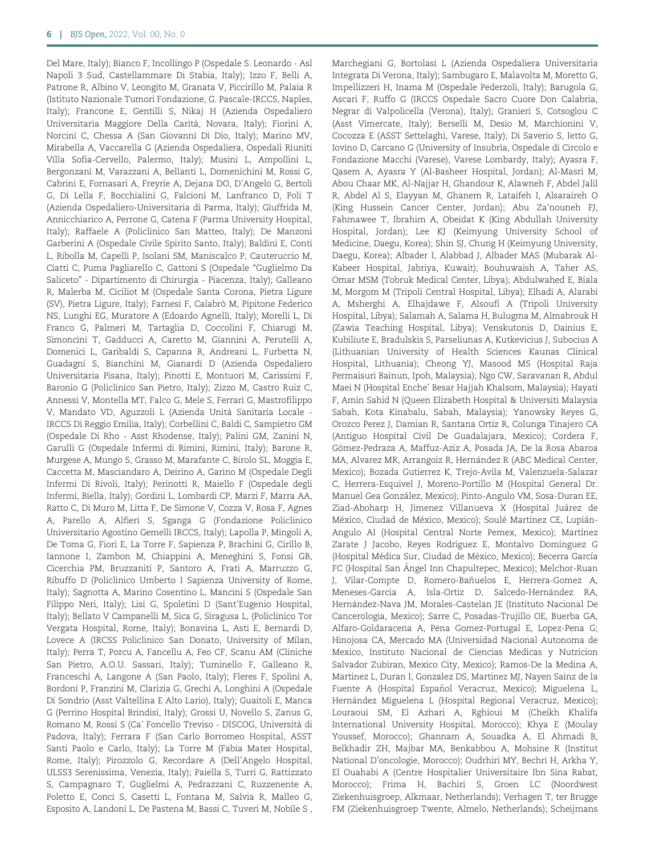Del Mare, Italy); Bianco F, Incollingo P (Ospedale S. Leonardo - Asl Napoli 3 Sud, Castellammare Di Stabia, Italy); Izzo F, Belli A, Patrone R, Albino V, Leongito M, Granata V, Piccirillo M, Palaia R (Istituto Nazionale Tumori Fondazione, G. Pascale-IRCCS, Naples, Italy); Francone E, Gentilli S, Nikaj H (Azienda Ospedaliero Universitaria Maggiore Della Carità, Novara, Italy); Fiorini A, Norcini C, Chessa A (San Giovanni Di Dio, Italy); Marino MV, Mirabella A, Vaccarella G (Azienda Ospedaliera, Ospedali Riuniti Villa Sofia-Cervello, Palermo, Italy); Musini L, Ampollini L, Bergonzani M, Varazzani A, Bellanti L, Domenichini M, Rossi G, Cabrini E, Fornasari A, Freyrie A, Dejana DO, D'Angelo G, Bertoli G, Di Lella F, Bocchialini G, Falcioni M, Lanfranco D, Poli T (Azienda Ospedaliero-Universitaria di Parma, Italy); Giuffrida M, Annicchiarico A, Perrone G, Catena F (Parma University Hospital, Italy); Raffaele A (Policlinico San Matteo, Italy); De Manzoni Garberini A (Ospedale Civile Spirito Santo, Italy); Baldini E, Conti L, Ribolla M, Capelli P, Isolani SM, Maniscalco P, Cauteruccio M, Ciatti C, Puma Pagliarello C, Gattoni S (Ospedale "Guglielmo Da Saliceto" - Dipartimento di Chirurgia - Piacenza, Italy); Galleano R, Malerba M, Ciciliot M (Ospedale Santa Corona, Pietra Ligure (SV), Pietra Ligure, Italy); Farnesi F, Calabrò M, Pipitone Federico NS, Lunghi EG, Muratore A (Edoardo Agnelli, Italy); Morelli L, Di Franco G, Palmeri M, Tartaglia D, Coccolini F, Chiarugi M, Simoncini T, Gadducci A, Caretto M, Giannini A, Perutelli A, Domenici L, Garibaldi S, Capanna R, Andreani L, Furbetta N, Guadagni S, Bianchini M, Gianardi D (Azienda Ospedaliero Universitaria Pisana, Italy); Pinotti E, Montuori M, Carissimi F, Baronio G (Policlinico San Pietro, Italy); Zizzo M, Castro Ruiz C, Annessi V, Montella MT, Falco G, Mele S, Ferrari G, Mastrofilippo V, Mandato VD, Aguzzoli L (Azienda Unita` Sanitaria Locale - IRCCS Di Reggio Emilia, Italy); Corbellini C, Baldi C, Sampietro GM (Ospedale Di Rho - Asst Rhodense, Italy); Palini GM, Zanini N, Garulli G (Ospedale Infermi di Rimini, Rimini, Italy); Barone R, Murgese A, Mungo S, Grasso M, Marafante C, Birolo SL, Moggia E, Caccetta M, Masciandaro A, Deirino A, Garino M (Ospedale Degli Infermi Di Rivoli, Italy); Perinotti R, Maiello F (Ospedale degli Infermi, Biella, Italy); Gordini L, Lombardi CP, Marzi F, Marra AA, Ratto C, Di Muro M, Litta F, De Simone V, Cozza V, Rosa F, Agnes A, Parello A, Alfieri S, Sganga G (Fondazione Policlinico Universitario Agostino Gemelli IRCCS, Italy); Lapolla P, Mingoli A, De Toma G, Fiori E, La Torre F, Sapienza P, Brachini G, Cirillo B, Iannone I, Zambon M, Chiappini A, Meneghini S, Fonsi GB, Cicerchia PM, Bruzzaniti P, Santoro A, Frati A, Marruzzo G, Ribuffo D (Policlinico Umberto I Sapienza University of Rome, Italy); Sagnotta A, Marino Cosentino L, Mancini S (Ospedale San Filippo Neri, Italy); Lisi G, Spoletini D (Sant'Eugenio Hospital, Italy); Bellato V Campanelli M, Sica G, Siragusa L, (Policlinico Tor Vergata Hospital, Rome, Italy); Bonavina L, Asti E, Bernardi D, Lovece A (IRCSS Policlinico San Donato, University of Milan, Italy); Perra T, Porcu A, Fancellu A, Feo CF, Scanu AM (Cliniche San Pietro, A.O.U. Sassari, Italy); Tuminello F, Galleano R, Franceschi A, Langone A (San Paolo, Italy); Fleres F, Spolini A, Bordoni P, Franzini M, Clarizia G, Grechi A, Longhini A (Ospedale Di Sondrio (Asst Valtellina E Alto Lario), Italy); Guaitoli E, Manca G (Perrino Hospital Brindisi, Italy); Grossi U, Novello S, Zanus G, Romano M, Rossi S (Ca' Foncello Treviso - DISCOG, Universita` di Padova, Italy); Ferrara F (San Carlo Borromeo Hospital, ASST Santi Paolo e Carlo, Italy); La Torre M (Fabia Mater Hospital, Rome, Italy); Pirozzolo G, Recordare A (Dell'Angelo Hospital, ULSS3 Serenissima, Venezia, Italy); Paiella S, Turri G, Rattizzato S, Campagnaro T, Guglielmi A, Pedrazzani C, Ruzzenente A, Poletto E, Conci S, Casetti L, Fontana M, Salvia R, Malleo G, Esposito A, Landoni L, De Pastena M, Bassi C, Tuveri M, Nobile S ,

Marchegiani G, Bortolasi L (Azienda Ospedaliera Universitaria Integrata Di Verona, Italy); Sambugaro E, Malavolta M, Moretto G, Impellizzeri H, Inama M (Ospedale Pederzoli, Italy); Barugola G, Ascari F, Ruffo G (IRCCS Ospedale Sacro Cuore Don Calabria, Negrar di Valpolicella (Verona), Italy); Granieri S, Cotsoglou C (Asst Vimercate, Italy); Berselli M, Desio M, Marchionini V, Cocozza E (ASST Settelaghi, Varese, Italy); Di Saverio S, Ietto G, Iovino D, Carcano G (University of Insubria, Ospedale di Circolo e Fondazione Macchi (Varese), Varese Lombardy, Italy); Ayasra F, Qasem A, Ayasra Y (Al-Basheer Hospital, Jordan); Al-Masri M, Abou Chaar MK, Al-Najjar H, Ghandour K, Alawneh F, Abdel Jalil R, Abdel Al S, Elayyan M, Ghanem R, Lataifeh I, Alsaraireh O (King Hussein Cancer Center, Jordan); Abu Za'nouneh FJ, Fahmawee T, Ibrahim A, Obeidat K (King Abdullah University Hospital, Jordan); Lee KJ (Keimyung University School of Medicine, Daegu, Korea); Shin SJ, Chung H (Keimyung University, Daegu, Korea); Albader I, Alabbad J, Albader MAS (Mubarak Al-Kabeer Hospital, Jabriya, Kuwait); Bouhuwaish A, Taher AS, Omar MSM (Tobruk Medical Center, Libya); Abdulwahed E, Biala M, Morgom M (Tripoli Central Hospital, Libya); Elhadi A, Alarabi A, Msherghi A, Elhajdawe F, Alsoufi A (Tripoli University Hospital, Libya); Salamah A, Salama H, Bulugma M, Almabrouk H (Zawia Teaching Hospital, Libya); Venskutonis D, Dainius E, Kubiliute E, Bradulskis S, Parseliunas A, Kutkevicius J, Subocius A (Lithuanian University of Health Sciences Kaunas Clinical Hospital, Lithuania); Cheong YJ, Masood MS (Hospital Raja Permaisuri Bainun, Ipoh, Malaysia); Ngo CW, Saravanan R, Abdul Maei N (Hospital Enche' Besar Hajjah Khalsom, Malaysia); Hayati F, Amin Sahid N (Queen Elizabeth Hospital & Universiti Malaysia Sabah, Kota Kinabalu, Sabah, Malaysia); Yanowsky Reyes G, Orozco Perez J, Damian R, Santana Ortiz R, Colunga Tinajero CA (Antiguo Hospital Civil De Guadalajara, Mexico); Cordera F, Gómez-Pedraza A, Maffuz-Aziz A, Posada JA, De la Rosa Abaroa MA, Alvarez MR, Arrangoiz R, Hernández R (ABC Medical Center, Mexico); Bozada Gutierrez K, Trejo-Avila M, Valenzuela-Salazar C, Herrera-Esquivel J, Moreno-Portillo M (Hospital General Dr. Manuel Gea González, Mexico); Pinto-Angulo VM, Sosa-Duran EE, Ziad-Aboharp H, Jimenez Villanueva X (Hospital Juárez de México, Ciudad de México, Mexico); Soulé Martínez CE, Lupián-Angulo AI (Hospital Central Norte Pemex, Mexico); Martínez Zarate J Jacobo, Reyes Rodriguez E, Montalvo Dominguez G (Hospital Médica Sur, Ciudad de México, Mexico); Becerra García FC (Hospital San Ángel Inn Chapultepec, Mexico); Melchor-Ruan J, Vilar-Compte D, Romero-Bañuelos E, Herrera-Gomez A, Meneses-Garcia A, Isla-Ortiz D, Salcedo-Hernández RA, Hernández-Nava JM, Morales-Castelan JE (Instituto Nacional De Cancerologia, Mexico); Sarre C, Posadas-Trujillo OE, Buerba GA, Alfaro-Goldaracena A, Pena Gomez-Portugal E, Lopez-Pena G; Hinojosa CA, Mercado MA (Universidad Nacional Autonoma de Mexico, Instituto Nacional de Ciencias Medicas y Nutricion Salvador Zubiran, Mexico City, Mexico); Ramos-De la Medina A, Martinez L, Duran I, Gonzalez DS, Martinez MJ, Nayen Sainz de la Fuente A (Hospital Español Veracruz, Mexico); Miguelena L, Hernández Miguelena L (Hospital Regional Veracruz, Mexico); Louraoui SM, El Azhari A, Rghioui M (Cheikh Khalifa International University Hospital, Morocco); Khya E (Moulay Youssef, Morocco); Ghannam A, Souadka A, El Ahmadi B, Belkhadir ZH, Majbar MA, Benkabbou A, Mohsine R (Institut National D'oncologie, Morocco); Oudrhiri MY, Bechri H, Arkha Y, El Ouahabi A (Centre Hospitalier Universitaire Ibn Sina Rabat, Morocco); Frima H, Bachiri S, Groen LC (Noordwest Ziekenhuisgroep, Alkmaar, Netherlands); Verhagen T, ter Brugge FM (Ziekenhuisgroep Twente, Almelo, Netherlands); Scheijmans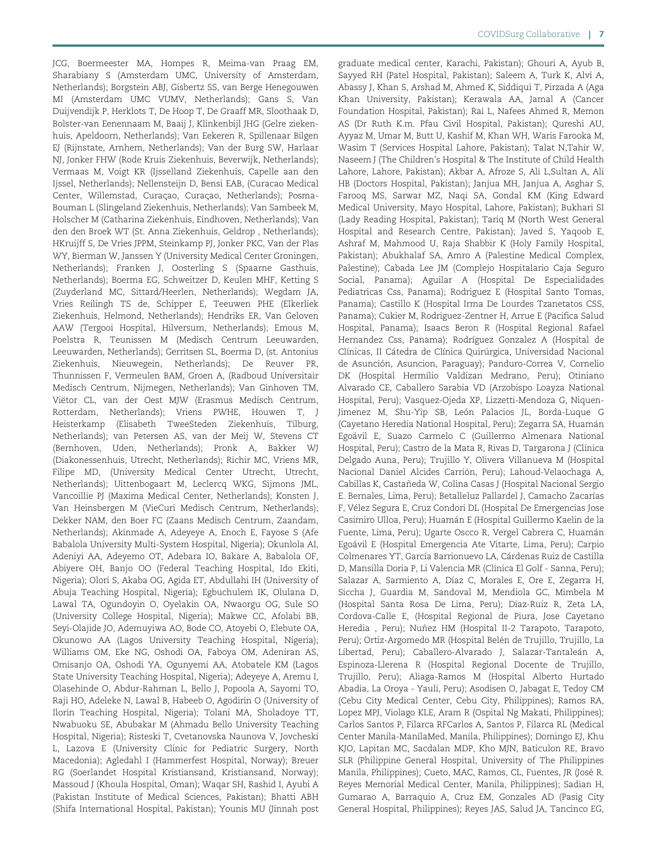JCG, Boermeester MA, Hompes R, Meima-van Praag EM, Sharabiany S (Amsterdam UMC, University of Amsterdam, Netherlands); Borgstein ABJ, Gisbertz SS, van Berge Henegouwen MI (Amsterdam UMC VUMV, Netherlands); Gans S, Van Duijvendijk P, Herklots T, De Hoop T, De Graaff MR, Sloothaak D, Bolster-van Eenennaam M, Baaij J, Klinkenbijl JHG (Gelre ziekenhuis, Apeldoorn, Netherlands); Van Eekeren R, Spillenaar Bilgen EJ (Rijnstate, Arnhem, Netherlands); Van der Burg SW, Harlaar NJ, Jonker FHW (Rode Kruis Ziekenhuis, Beverwijk, Netherlands); Vermaas M, Voigt KR (Ijsselland Ziekenhuis, Capelle aan den Ijssel, Netherlands); Nellensteijn D, Bensi EAB, (Curacao Medical Center, Willemstad, Curaçao, Curaçao, Netherlands); Posma-Bouman L (Slingeland Ziekenhuis, Netherlands); Van Sambeek M, Holscher M (Catharina Ziekenhuis, Eindhoven, Netherlands); Van den den Broek WT (St. Anna Ziekenhuis, Geldrop , Netherlands); HKruijff S, De Vries JPPM, Steinkamp PJ, Jonker PKC, Van der Plas WY, Bierman W, Janssen Y (University Medical Center Groningen, Netherlands); Franken J, Oosterling S (Spaarne Gasthuis, Netherlands); Boerma EG, Schweitzer D, Keulen MHF, Ketting S (Zuyderland MC, Sittard/Heerlen, Netherlands); Wegdam JA, Vries Reilingh TS de, Schipper E, Teeuwen PHE (Elkerliek Ziekenhuis, Helmond, Netherlands); Hendriks ER, Van Geloven AAW (Tergooi Hospital, Hilversum, Netherlands); Emous M, Poelstra R, Teunissen M (Medisch Centrum Leeuwarden, Leeuwarden, Netherlands); Gerritsen SL, Boerma D, (st. Antonius Ziekenhuis, Nieuwegein, Netherlands); De Reuver PR, Thunnissen F, Vermeulen BAM, Groen A, (Radboud Universitair Medisch Centrum, Nijmegen, Netherlands); Van Ginhoven TM, Viëtor CL, van der Oest MJW (Erasmus Medisch Centrum, Rotterdam, Netherlands); Vriens PWHE, Houwen T, J Heisterkamp (Elisabeth TweeSteden Ziekenhuis, Tilburg, Netherlands); van Petersen AS, van der Meij W, Stevens CT (Bernhoven, Uden, Netherlands); Pronk A, Bakker WJ (Diakonessenhuis, Utrecht, Netherlands); Richir MC, Vriens MR, Filipe MD, (University Medical Center Utrecht, Utrecht, Netherlands); Uittenbogaart M, Leclercq WKG, Sijmons JML, Vancoillie PJ (Maxima Medical Center, Netherlands); Konsten J, Van Heinsbergen M (VieCuri Medisch Centrum, Netherlands); Dekker NAM, den Boer FC (Zaans Medisch Centrum, Zaandam, Netherlands); Akinmade A, Adeyeye A, Enoch E, Fayose S (Afe Babalola University Multi-System Hospital, Nigeria); Okunlola AI, Adeniyi AA, Adeyemo OT, Adebara IO, Bakare A, Babalola OF, Abiyere OH, Banjo OO (Federal Teaching Hospital, Ido Ekiti, Nigeria); Olori S, Akaba OG, Agida ET, Abdullahi IH (University of Abuja Teaching Hospital, Nigeria); Egbuchulem IK, Olulana D, Lawal TA, Ogundoyin O, Oyelakin OA, Nwaorgu OG, Sule SO (University College Hospital, Nigeria); Makwe CC, Afolabi BB, Seyi-Olajide JO, Ademuyiwa AO, Bode CO, Atoyebi O, Elebute OA, Okunowo AA (Lagos University Teaching Hospital, Nigeria); Williams OM, Eke NG, Oshodi OA, Faboya OM, Adeniran AS, Omisanjo OA, Oshodi YA, Ogunyemi AA, Atobatele KM (Lagos State University Teaching Hospital, Nigeria); Adeyeye A, Aremu I, Olasehinde O, Abdur-Rahman L, Bello J, Popoola A, Sayomi TO, Raji HO, Adeleke N, Lawal B, Habeeb O, Agodirin O (University of Ilorin Teaching Hospital, Nigeria); Tolani MA, Sholadoye TT, Nwabuoku SE, Abubakar M (Ahmadu Bello University Teaching Hospital, Nigeria); Risteski T, Cvetanovska Naunova V, Jovcheski L, Lazova E (University Clinic for Pediatric Surgery, North Macedonia); Agledahl I (Hammerfest Hospital, Norway); Breuer RG (Soerlandet Hospital Kristiansand, Kristiansand, Norway); Massoud J (Khoula Hospital, Oman); Waqar SH, Rashid I, Ayubi A (Pakistan Institute of Medical Sciences, Pakistan); Bhatti ABH (Shifa International Hospital, Pakistan); Younis MU (Jinnah post

graduate medical center, Karachi, Pakistan); Ghouri A, Ayub B, Sayyed RH (Patel Hospital, Pakistan); Saleem A, Turk K, Alvi A, Abassy J, Khan S, Arshad M, Ahmed K, Siddiqui T, Pirzada A (Aga Khan University, Pakistan); Kerawala AA, Jamal A (Cancer Foundation Hospital, Pakistan); Rai L, Nafees Ahmed R, Memon AS (Dr Ruth K.m. Pfau Civil Hospital, Pakistan); Qureshi AU, Ayyaz M, Umar M, Butt U, Kashif M, Khan WH, Waris Farooka M, Wasim T (Services Hospital Lahore, Pakistan); Talat N,Tahir W, Naseem J (The Children's Hospital & The Institute of Child Health Lahore, Lahore, Pakistan); Akbar A, Afroze S, Ali L,Sultan A, Ali HB (Doctors Hospital, Pakistan); Janjua MH, Janjua A, Asghar S, Farooq MS, Sarwar MZ, Naqi SA, Gondal KM (King Edward Medical University, Mayo Hospital, Lahore, Pakistan); Bukhari SI (Lady Reading Hospital, Pakistan); Tariq M (North West General Hospital and Research Centre, Pakistan); Javed S, Yaqoob E, Ashraf M, Mahmood U, Raja Shabbir K (Holy Family Hospital, Pakistan); Abukhalaf SA, Amro A (Palestine Medical Complex, Palestine); Cabada Lee JM (Complejo Hospitalario Caja Seguro Social, Panama); Aguilar A (Hospital De Especialidades Pediatricas Css, Panama); Rodriguez E (Hospital Santo Tomas, Panama); Castillo K (Hospital Irma De Lourdes Tzanetatos CSS, Panama); Cukier M, Rodriguez-Zentner H, Arrue E (Pacifica Salud Hospital, Panama); Isaacs Beron R (Hospital Regional Rafael Hernandez Css, Panama); Rodríguez Gonzalez A (Hospital de Clínicas, II Cátedra de Clínica Quirúrgica, Universidad Nacional de Asunción, Asuncion, Paraguay); Panduro-Correa V, Cornelio DK (Hospital Hermilio Valdizan Medrano, Peru); Otiniano Alvarado CE, Caballero Sarabia VD (Arzobispo Loayza National Hospital, Peru); Vasquez-Ojeda XP, Lizzetti-Mendoza G, Niquen-Jimenez M, Shu-Yip SB, León Palacios JL, Borda-Luque G (Cayetano Heredia National Hospital, Peru); Zegarra SA, Huamán Egoávil E, Suazo Carmelo C (Guillermo Almenara National Hospital, Peru); Castro de la Mata R, Rivas D, Targarona J (Clínica Delgado Auna, Peru); Trujillo Y, Olivera Villanueva M (Hospital Nacional Daniel Alcides Carrión, Peru); Lahoud-Velaochaga A, Cabillas K, Castaneda W, Colina Casas J (Hospital Nacional Sergio ~ E. Bernales, Lima, Peru); Betalleluz Pallardel J, Camacho Zacarías F, Vélez Segura E, Cruz Condori DL (Hospital De Emergencias Jose Casimiro Ulloa, Peru); Huamán E (Hospital Guillermo Kaelin de la Fuente, Lima, Peru); Ugarte Oscco R, Vergel Cabrera C, Huamán Egoávil E (Hospital Emergencia Ate Vitarte, Lima, Peru); Carpio Colmenares YT, García Barrionuevo LA, Cárdenas Ruiz de Castilla D, Mansilla Doria P, Li Valencia MR (Clínica El Golf - Sanna, Peru); Salazar A, Sarmiento A, Díaz C, Morales E, Ore E, Zegarra H, Siccha J, Guardia M, Sandoval M, Mendiola GC, Mimbela M (Hospital Santa Rosa De Lima, Peru); Diaz-Ruiz R, Zeta LA, Cordova-Calle E, (Hospital Regional de Piura, Jose Cayetano Heredia , Peru); Nuñez HM (Hospital II-2 Tarapoto, Tarapoto, Peru); Ortiz-Argomedo MR (Hospital Belén de Trujillo, Trujillo, La Libertad, Peru); Caballero-Alvarado J, Salazar-Tantaleán A, Espinoza-Llerena R (Hospital Regional Docente de Trujillo, Trujillo, Peru); Aliaga-Ramos M (Hospital Alberto Hurtado Abadia, La Oroya - Yauli, Peru); Asodisen O, Jabagat E, Tedoy CM (Cebu City Medical Center, Cebu City, Philippines); Ramos RA, Lopez MPJ, Violago KLE, Aram R (Ospital Ng Makati, Philippines); Carlos Santos P, Filarca RFCarlos A, Santos P, Filarca RL (Medical Center Manila-ManilaMed, Manila, Philippines); Domingo EJ, Khu KJO, Lapitan MC, Sacdalan MDP, Kho MJN, Baticulon RE, Bravo SLR (Philippine General Hospital, University of The Philippines Manila, Philippines); Cueto, MAC, Ramos, CL, Fuentes, JR (José R. Reyes Memorial Medical Center, Manila, Philippines); Sadian H, Gumarao A, Barraquio A, Cruz EM, Gonzales AD (Pasig City General Hospital, Philippines); Reyes JAS, Salud JA, Tancinco EG,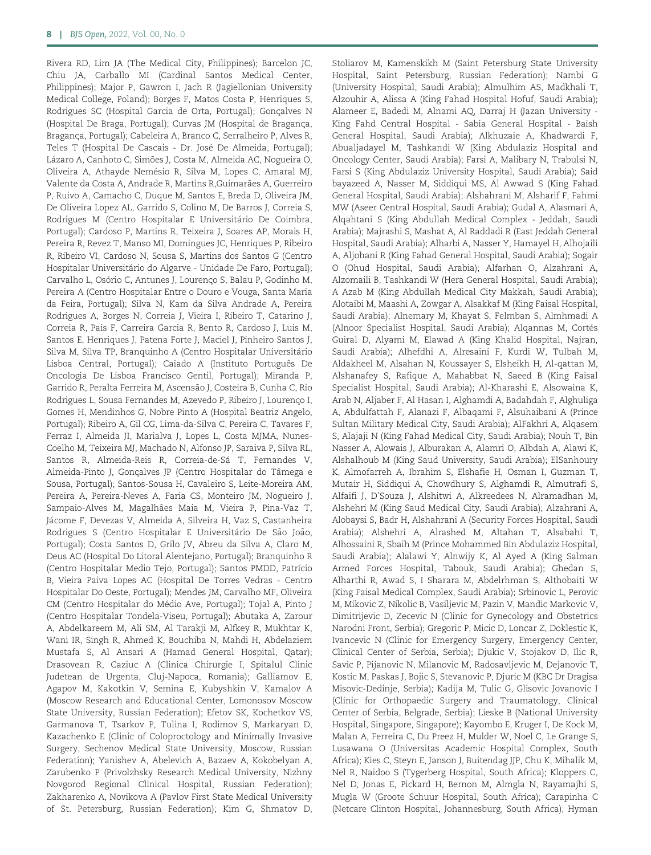Rivera RD, Lim JA (The Medical City, Philippines); Barcelon JC, Chiu JA, Carballo MI (Cardinal Santos Medical Center, Philippines); Major P, Gawron I, Jach R (Jagiellonian University Medical College, Poland); Borges F, Matos Costa P, Henriques S, Rodrigues SC (Hospital Garcia de Orta, Portugal); Goncalves N (Hospital De Braga, Portugal); Curvas JM (Hospital de Bragança, Bragança, Portugal); Cabeleira A, Branco C, Serralheiro P, Alves R, Teles T (Hospital De Cascais - Dr. José De Almeida, Portugal); Lázaro A, Canhoto C, Simões J, Costa M, Almeida AC, Nogueira O, Oliveira A, Athayde Nemésio R, Silva M, Lopes C, Amaral MJ, Valente da Costa A, Andrade R, Martins R, Guimarães A, Guerreiro P, Ruivo A, Camacho C, Duque M, Santos E, Breda D, Oliveira JM, De Oliveira Lopez AL, Garrido S, Colino M, De Barros J, Correia S, Rodrigues M (Centro Hospitalar E Universitário De Coimbra, Portugal); Cardoso P, Martins R, Teixeira J, Soares AP, Morais H, Pereira R, Revez T, Manso MI, Domingues JC, Henriques P, Ribeiro R, Ribeiro VI, Cardoso N, Sousa S, Martins dos Santos G (Centro Hospitalar Universitário do Algarve - Unidade De Faro, Portugal); Carvalho L, Osório C, Antunes J, Lourenço S, Balau P, Godinho M, Pereira A (Centro Hospitalar Entre o Douro e Vouga, Santa Maria da Feira, Portugal); Silva N, Kam da Silva Andrade A, Pereira Rodrigues A, Borges N, Correia J, Vieira I, Ribeiro T, Catarino J, Correia R, Pais F, Carreira Garcia R, Bento R, Cardoso J, Luis M, Santos E, Henriques J, Patena Forte J, Maciel J, Pinheiro Santos J, Silva M, Silva TP, Branquinho A (Centro Hospitalar Universitário Lisboa Central, Portugal); Caiado A (Instituto Português De Oncologia De Lisboa Francisco Gentil, Portugal); Miranda P, Garrido R, Peralta Ferreira M, Ascensao J, Costeira B, Cunha C, Rio ~ Rodrigues L, Sousa Fernandes M, Azevedo P, Ribeiro J, Lourenço I, Gomes H, Mendinhos G, Nobre Pinto A (Hospital Beatriz Angelo, Portugal); Ribeiro A, Gil CG, Lima-da-Silva C, Pereira C, Tavares F, Ferraz I, Almeida JI, Marialva J, Lopes L, Costa MJMA, Nunes-Coelho M, Teixeira MJ, Machado N, Alfonso JP, Saraiva P, Silva RL, Santos R, Almeida-Reis R, Correia-de-Sá T, Fernandes V, Almeida-Pinto J, Gonçalves JP (Centro Hospitalar do Tâmega e Sousa, Portugal); Santos-Sousa H, Cavaleiro S, Leite-Moreira AM, Pereira A, Pereira-Neves A, Faria CS, Monteiro JM, Nogueiro J, Sampaio-Alves M, Magalhaes Maia M, Vieira P, Pina-Vaz T, ~ Jácome F, Devezas V, Almeida A, Silveira H, Vaz S, Castanheira Rodrigues S (Centro Hospitalar E Universitário De São João, Portugal); Costa Santos D, Grilo JV, Abreu da Silva A, Claro M, Deus AC (Hospital Do Litoral Alentejano, Portugal); Branquinho R (Centro Hospitalar Medio Tejo, Portugal); Santos PMDD, Patrício B, Vieira Paiva Lopes AC (Hospital De Torres Vedras - Centro Hospitalar Do Oeste, Portugal); Mendes JM, Carvalho MF, Oliveira CM (Centro Hospitalar do Médio Ave, Portugal); Tojal A, Pinto J (Centro Hospitalar Tondela-Viseu, Portugal); Abutaka A, Zarour A, Abdelkareem M, Ali SM, Al Tarakji M, Alfkey R, Mukhtar K, Wani IR, Singh R, Ahmed K, Bouchiba N, Mahdi H, Abdelaziem Mustafa S, Al Ansari A (Hamad General Hospital, Qatar); Drasovean R, Caziuc A (Clinica Chirurgie I, Spitalul Clinic Judetean de Urgenta, Cluj-Napoca, Romania); Galliamov E, Agapov M, Kakotkin V, Semina E, Kubyshkin V, Kamalov A (Moscow Research and Educational Center, Lomonosov Moscow State University, Russian Federation); Efetov SK, Kochetkov VS, Garmanova T, Tsarkov P, Tulina I, Rodimov S, Markaryan D, Kazachenko E (Clinic of Coloproctology and Minimally Invasive Surgery, Sechenov Medical State University, Moscow, Russian Federation); Yanishev A, Abelevich A, Bazaev A, Kokobelyan A, Zarubenko P (Privolzhsky Research Medical University, Nizhny Novgorod Regional Clinical Hospital, Russian Federation); Zakharenko A, Novikova A (Pavlov First State Medical University of St. Petersburg, Russian Federation); Kim G, Shmatov D,

Stoliarov M, Kamenskikh M (Saint Petersburg State University Hospital, Saint Petersburg, Russian Federation); Nambi G (University Hospital, Saudi Arabia); Almulhim AS, Madkhali T, Alzouhir A, Alissa A (King Fahad Hospital Hofuf, Saudi Arabia); Alameer E, Badedi M, Alnami AQ, Darraj H (Jazan University - King Fahd Central Hospital - Sabia General Hospital - Baish General Hospital, Saudi Arabia); Alkhuzaie A, Khadwardi F, Abualjadayel M, Tashkandi W (King Abdulaziz Hospital and Oncology Center, Saudi Arabia); Farsi A, Malibary N, Trabulsi N, Farsi S (King Abdulaziz University Hospital, Saudi Arabia); Said bayazeed A, Nasser M, Siddiqui MS, Al Awwad S (King Fahad General Hospital, Saudi Arabia); Alshahrani M, Alsharif F, Fahmi MW (Aseer Central Hospital, Saudi Arabia); Gudal A, Alasmari A, Alqahtani S (King Abdullah Medical Complex - Jeddah, Saudi Arabia); Majrashi S, Mashat A, Al Raddadi R (East Jeddah General Hospital, Saudi Arabia); Alharbi A, Nasser Y, Hamayel H, Alhojaili A, Aljohani R (King Fahad General Hospital, Saudi Arabia); Sogair O (Ohud Hospital, Saudi Arabia); Alfarhan O, Alzahrani A, Alzomaili B, Tashkandi W (Hera General Hospital, Saudi Arabia); A Azab M (King Abdullah Medical City Makkah, Saudi Arabia); Alotaibi M, Maashi A, Zowgar A, Alsakkaf M (King Faisal Hospital, Saudi Arabia); Alnemary M, Khayat S, Felmban S, Almhmadi A (Alnoor Specialist Hospital, Saudi Arabia); Alqannas M, Cortés Guiral D, Alyami M, Elawad A (King Khalid Hospital, Najran, Saudi Arabia); Alhefdhi A, Alresaini F, Kurdi W, Tulbah M, Aldakheel M, Alsahan N, Koussayer S, Elsheikh H, Al-qattan M, Alshanafey S, Rafique A, Mahabbat N, Saeed B (King Faisal Specialist Hospital, Saudi Arabia); Al-Kharashi E, Alsowaina K, Arab N, Aljaber F, Al Hasan I, Alghamdi A, Badahdah F, Alghuliga A, Abdulfattah F, Alanazi F, Albaqami F, Alsuhaibani A (Prince Sultan Military Medical City, Saudi Arabia); AlFakhri A, Alqasem S, Alajaji N (King Fahad Medical City, Saudi Arabia); Nouh T, Bin Nasser A, Alowais J, Alburakan A, Alamri O, Albdah A, Alawi K, Alshalhoub M (King Saud University, Saudi Arabia); ElSanhoury K, Almofarreh A, Ibrahim S, Elshafie H, Osman I, Guzman T, Mutair H, Siddiqui A, Chowdhury S, Alghamdi R, Almutrafi S, Alfaifi J, D'Souza J, Alshitwi A, Alkreedees N, Alramadhan M, Alshehri M (King Saud Medical City, Saudi Arabia); Alzahrani A, Alobaysi S, Badr H, Alshahrani A (Security Forces Hospital, Saudi Arabia); Alshehri A, Alrashed M, Altahan T, Alsabahi T, Alhossaini R, Sbaih M (Prince Mohammed Bin Abdulaziz Hospital, Saudi Arabia); Alalawi Y, Alnwijy K, Al Ayed A (King Salman Armed Forces Hospital, Tabouk, Saudi Arabia); Ghedan S, Alharthi R, Awad S, I Sharara M, Abdelrhman S, Althobaiti W (King Faisal Medical Complex, Saudi Arabia); Srbinovic L, Perovic M, Mikovic Z, Nikolic B, Vasiljevic M, Pazin V, Mandic Markovic V, Dimitrijevic D, Zecevic N (Clinic for Gynecology and Obstetrics Narodni Front, Serbia); Gregoric P, Micic D, Loncar Z, Doklestic K, Ivancevic N (Clinic for Emergency Surgery, Emergency Center, Clinical Center of Serbia, Serbia); Djukic V, Stojakov D, Ilic R, Savic P, Pijanovic N, Milanovic M, Radosavljevic M, Dejanovic T, Kostic M, Paskas J, Bojic S, Stevanovic P, Djuric M (KBC Dr Dragisa Misovic-Dedinje, Serbia); Kadija M, Tulic G, Glisovic Jovanovic I (Clinic for Orthopaedic Surgery and Traumatology, Clinical Center of Serbia, Belgrade, Serbia); Lieske B (National University Hospital, Singapore, Singapore); Kayombo E, Kruger I, De Kock M, Malan A, Ferreira C, Du Preez H, Mulder W, Noel C, Le Grange S, Lusawana O (Universitas Academic Hospital Complex, South Africa); Kies C, Steyn E, Janson J, Buitendag JJP, Chu K, Mihalik M, Nel R, Naidoo S (Tygerberg Hospital, South Africa); Kloppers C, Nel D, Jonas E, Pickard H, Bernon M, Almgla N, Rayamajhi S, Mugla W (Groote Schuur Hospital, South Africa); Carapinha C (Netcare Clinton Hospital, Johannesburg, South Africa); Hyman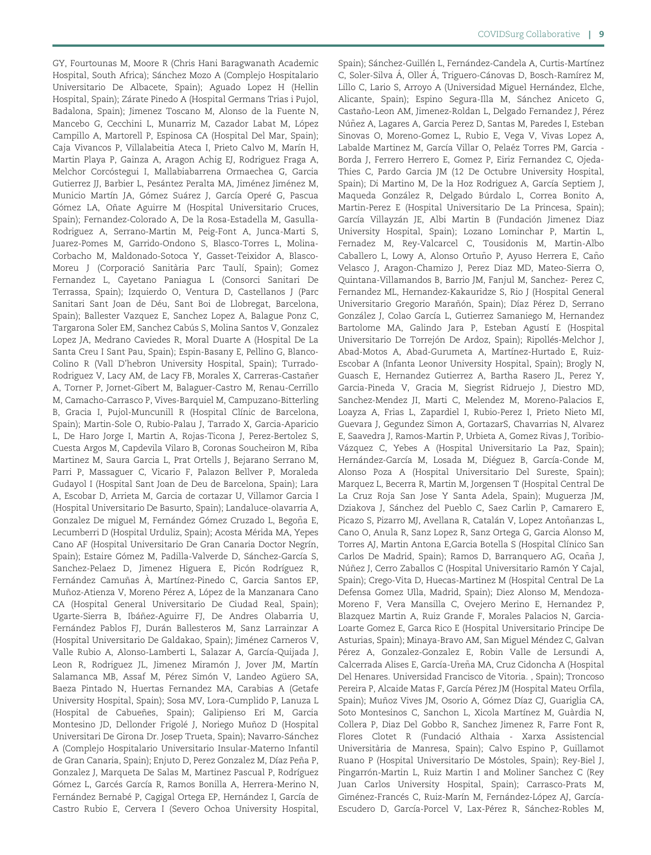GY, Fourtounas M, Moore R (Chris Hani Baragwanath Academic Hospital, South Africa); Sánchez Mozo A (Complejo Hospitalario Universitario De Albacete, Spain); Aguado Lopez H (Hellin Hospital, Spain); Zárate Pinedo A (Hospital Germans Trias i Pujol, Badalona, Spain); Jimenez Toscano M, Alonso de la Fuente N, Mancebo G, Cecchini L, Munarriz M, Cazador Labat M, López Campillo A, Martorell P, Espinosa CA (Hospital Del Mar, Spain); Caja Vivancos P, Villalabeitia Ateca I, Prieto Calvo M, Marín H, Martin Playa P, Gainza A, Aragon Achig EJ, Rodriguez Fraga A, Melchor Corcóstegui I, Mallabiabarrena Ormaechea G, Garcia Gutierrez JJ, Barbier L, Pesántez Peralta MA, Jiménez Jiménez M, Municio Martín JA, Gómez Suárez J, García Operé G, Pascua Gómez LA, Oñate Aguirre M (Hospital Universitario Cruces, Spain); Fernandez-Colorado A, De la Rosa-Estadella M, Gasulla-Rodriguez A, Serrano-Martin M, Peig-Font A, Junca-Marti S, Juarez-Pomes M, Garrido-Ondono S, Blasco-Torres L, Molina-Corbacho M, Maldonado-Sotoca Y, Gasset-Teixidor A, Blasco-Moreu J (Corporació Sanitària Parc Taulí, Spain); Gomez Fernandez L, Cayetano Paniagua L (Consorci Sanitari De Terrassa, Spain); Izquierdo O, Ventura D, Castellanos J (Parc Sanitari Sant Joan de Déu, Sant Boi de Llobregat, Barcelona, Spain); Ballester Vazquez E, Sanchez Lopez A, Balague Ponz C, Targarona Soler EM, Sanchez Cabús S, Molina Santos V, Gonzalez Lopez JA, Medrano Caviedes R, Moral Duarte A (Hospital De La Santa Creu I Sant Pau, Spain); Espin-Basany E, Pellino G, Blanco-Colino R (Vall D'hebron University Hospital, Spain); Turrado-Rodriguez V, Lacy AM, de Lacy FB, Morales X, Carreras-Castañer A, Torner P, Jornet-Gibert M, Balaguer-Castro M, Renau-Cerrillo M, Camacho-Carrasco P, Vives-Barquiel M, Campuzano-Bitterling B, Gracia I, Pujol-Muncunill R (Hospital Clínic de Barcelona, Spain); Martin-Sole O, Rubio-Palau J, Tarrado X, Garcia-Aparicio L, De Haro Jorge I, Martin A, Rojas-Ticona J, Perez-Bertolez S, Cuesta Argos M, Capdevila Vilaro B, Coronas Soucheiron M, Riba Martinez M, Saura Garcia L, Prat Ortells J, Bejarano Serrano M, Parri P, Massaguer C, Vicario F, Palazon Bellver P, Moraleda Gudayol I (Hospital Sant Joan de Deu de Barcelona, Spain); Lara A, Escobar D, Arrieta M, Garcia de cortazar U, Villamor Garcia I (Hospital Universitario De Basurto, Spain); Landaluce-olavarria A, Gonzalez De miguel M, Fernández Gómez Cruzado L, Begoña E, Lecumberri D (Hospital Urduliz, Spain); Acosta Mérida MA, Yepes Cano AF (Hospital Universitario De Gran Canaria Doctor Negrín, Spain); Estaire Gómez M, Padilla-Valverde D, Sánchez-García S, Sanchez-Pelaez D, Jimenez Higuera E, Picón Rodríguez R, Fernández Camuñas À, Martínez-Pinedo C, Garcia Santos EP, Muñoz-Atienza V, Moreno Pérez A, López de la Manzanara Cano CA (Hospital General Universitario De Ciudad Real, Spain); Ugarte-Sierra B, Ibáñez-Aguirre FJ, De Andres Olabarria U, Fernández Pablos FJ, Durán Ballesteros M, Sanz Larrainzar A (Hospital Universitario De Galdakao, Spain); Jiménez Carneros V, Valle Rubio A, Alonso-Lamberti L, Salazar A, García-Quijada J, Leon R, Rodriguez JL, Jimenez Miramón J, Jover JM, Martín Salamanca MB, Assaf M, Pérez Simón V, Landeo Agüero SA, Baeza Pintado N, Huertas Fernandez MA, Carabias A (Getafe University Hospital, Spain); Sosa MV, Lora-Cumplido P, Lanuza L (Hospital de Cabuenes, Spain); Galipienso Eri M, Garcia ~ Montesino JD, Dellonder Frigolé J, Noriego Muñoz D (Hospital Universitari De Girona Dr. Josep Trueta, Spain); Navarro-Sánchez A (Complejo Hospitalario Universitario Insular-Materno Infantil de Gran Canaria, Spain); Enjuto D, Perez Gonzalez M, Díaz Peña P, Gonzalez J, Marqueta De Salas M, Martinez Pascual P, Rodríguez Gómez L, Garcés García R, Ramos Bonilla A, Herrera-Merino N, Fernández Bernabé P, Cagigal Ortega EP, Hernández I, García de Castro Rubio E, Cervera I (Severo Ochoa University Hospital,

Spain); Sánchez-Guillén L, Fernández-Candela A, Curtis-Martínez C, Soler-Silva Á, Oller Á, Triguero-Cánovas D, Bosch-Ramírez M, Lillo C, Lario S, Arroyo A (Universidad Miguel Hernández, Elche, Alicante, Spain); Espino Segura-Illa M, Sánchez Aniceto G, Castaño-Leon AM, Jimenez-Roldan L, Delgado Fernandez J, Pérez Núñez A, Lagares A, Garcia Perez D, Santas M, Paredes I, Esteban Sinovas O, Moreno-Gomez L, Rubio E, Vega V, Vivas Lopez A, Labalde Martinez M, García Villar O, Pelaéz Torres PM, Garcia -Borda J, Ferrero Herrero E, Gomez P, Eiriz Fernandez C, Ojeda-Thies C, Pardo Garcia JM (12 De Octubre University Hospital, Spain); Di Martino M, De la Hoz Rodriguez A, García Septiem J, Maqueda González R, Delgado Búrdalo L, Correa Bonito A, Martin-Perez E (Hospital Universitario De La Princesa, Spain); García Villayzán JE, Albi Martin B (Fundación Jimenez Diaz University Hospital, Spain); Lozano Lominchar P, Martin L, Fernadez M, Rey-Valcarcel C, Tousidonis M, Martin-Albo Caballero L, Lowy A, Alonso Ortuño P, Ayuso Herrera E, Caño Velasco J, Aragon-Chamizo J, Perez Diaz MD, Mateo-Sierra O, Quintana-Villamandos B, Barrio JM, Fanjul M, Sanchez- Perez C, Fernandez ML, Hernandez-Kakauridze S, Rio J (Hospital General Universitario Gregorio Marañón, Spain); Díaz Pérez D, Serrano González J, Colao García L, Gutierrez Samaniego M, Hernandez Bartolome MA, Galindo Jara P, Esteban Agustí E (Hospital Universitario De Torrejón De Ardoz, Spain); Ripollés-Melchor J, Abad-Motos A, Abad-Gurumeta A, Martínez-Hurtado E, Ruiz-Escobar A (Infanta Leonor University Hospital, Spain); Brogly N, Guasch E, Hernandez Gutierrez A, Bartha Rasero JL, Perez Y, Garcia-Pineda V, Gracia M, Siegrist Ridruejo J, Diestro MD, Sanchez-Mendez JI, Marti C, Melendez M, Moreno-Palacios E, Loayza A, Frias L, Zapardiel I, Rubio-Perez I, Prieto Nieto MI, Guevara J, Gegundez Simon A, GortazarS, Chavarrias N, Alvarez E, Saavedra J, Ramos-Martin P, Urbieta A, Gomez Rivas J, Toribio-Vázquez C, Yebes A (Hospital Universitario La Paz, Spain); Hernández-García M, Losada M, Diéguez B, García-Conde M, Alonso Poza A (Hospital Universitario Del Sureste, Spain); Marquez L, Becerra R, Martin M, Jorgensen T (Hospital Central De La Cruz Roja San Jose Y Santa Adela, Spain); Muguerza JM, Dziakova J, Sánchez del Pueblo C, Saez Carlin P, Camarero E, Picazo S, Pizarro MJ, Avellana R, Catalán V, Lopez Antoñanzas L, Cano O, Anula R, Sanz Lopez R, Sanz Ortega G, Garcia Alonso M, Torres AJ, Martin Antona E, Garcia Botella S (Hospital Clínico San Carlos De Madrid, Spain); Ramos D, Barranquero AG, Ocaña J, Núñez J, Cerro Zaballos C (Hospital Universitario Ramón Y Cajal, Spain); Crego-Vita D, Huecas-Martinez M (Hospital Central De La Defensa Gomez Ulla, Madrid, Spain); Diez Alonso M, Mendoza-Moreno F, Vera Mansilla C, Ovejero Merino E, Hernandez P, Blazquez Martin A, Ruiz Grande F, Morales Palacios N, Garcia-Loarte Gomez E, Garca Rico E (Hospital Universitario Principe De Asturias, Spain); Minaya-Bravo AM, San Miguel Méndez C, Galvan Pérez A, Gonzalez-Gonzalez E, Robin Valle de Lersundi A, Calcerrada Alises E, García-Ureña MA, Cruz Cidoncha A (Hospital Del Henares. Universidad Francisco de Vitoria. , Spain); Troncoso Pereira P, Alcaide Matas F, García Pérez JM (Hospital Mateu Orfila, Spain); Muñoz Vives JM, Osorio A, Gómez Díaz CJ, Guariglia CA, Soto Montesinos C, Sanchon L, Xicola Martínez M, Guàrdia N, Collera P, Diaz Del Gobbo R, Sanchez Jimenez R, Farre Font R, Flores Clotet R (Fundació Althaia - Xarxa Assistencial Universitària de Manresa, Spain); Calvo Espino P, Guillamot Ruano P (Hospital Universitario De Móstoles, Spain); Rey-Biel J, Pingarrón-Martin L, Ruiz Martin I and Moliner Sanchez C (Rey Juan Carlos University Hospital, Spain); Carrasco-Prats M, Giménez-Francés C, Ruiz-Marín M, Fernández-López AJ, García-Escudero D, García-Porcel V, Lax-Pérez R, Sánchez-Robles M,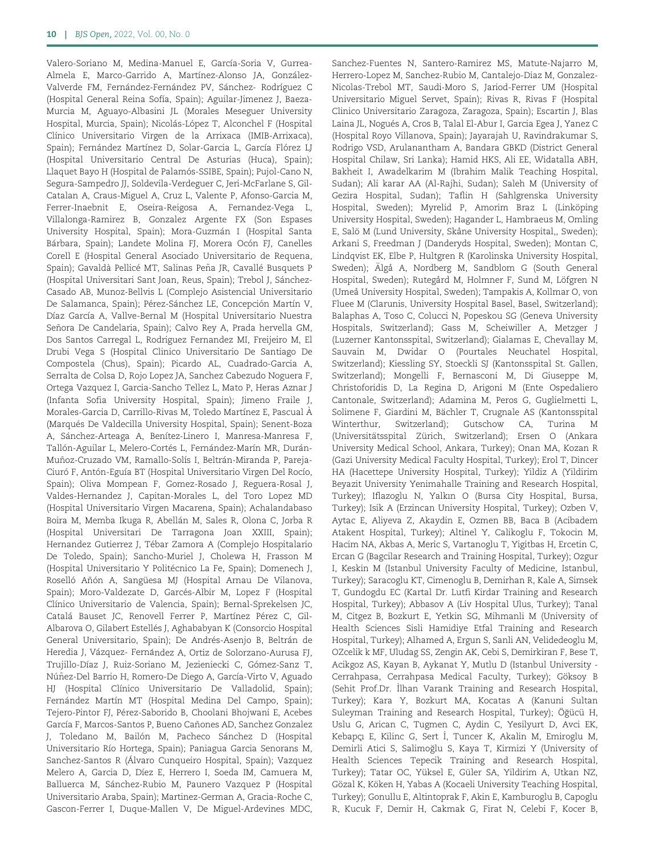Valero-Soriano M, Medina-Manuel E, García-Soria V, Gurrea-Almela E, Marco-Garrido A, Martínez-Alonso JA, González-Valverde FM, Fernández-Fernández PV, Sánchez- Rodríguez C (Hospital General Reina Sofía, Spain); Aguilar-Jimenez J, Baeza-Murcia M, Aguayo-Albasini JL (Morales Meseguer University Hospital, Murcia, Spain); Nicolás-López T, Alconchel F (Hospital Clínico Universitario Virgen de la Arrixaca (IMIB-Arrixaca), Spain); Fernández Martínez D, Solar-Garcia L, García Flórez LJ (Hospital Universitario Central De Asturias (Huca), Spain); Llaquet Bayo H (Hospital de Palamós-SSIBE, Spain); Pujol-Cano N, Segura-Sampedro JJ, Soldevila-Verdeguer C, Jeri-McFarlane S, Gil-Catalan A, Craus-Miguel A, Cruz L, Valente P, Afonso-Garcia M, Ferrer-Inaebnit E, Oseira-Reigosa A, Fernandez-Vega L, Villalonga-Ramirez B, Gonzalez Argente FX (Son Espases University Hospital, Spain); Mora-Guzmán I (Hospital Santa Bárbara, Spain); Landete Molina FJ, Morera Ocón FJ, Canelles Corell E (Hospital General Asociado Universitario de Requena, Spain); Gavaldà Pellicé MT, Salinas Peña JR, Cavallé Busquets P (Hospital Universitari Sant Joan, Reus, Spain); Trebol J, Sánchez-Casado AB, Munoz-Bellvis L (Complejo Asistencial Universitario De Salamanca, Spain); Pérez-Sánchez LE, Concepción Martín V, Díaz García A, Vallve-Bernal M (Hospital Universitario Nuestra Señora De Candelaria, Spain); Calvo Rey A, Prada hervella GM, Dos Santos Carregal L, Rodriguez Fernandez MI, Freijeiro M, El Drubi Vega S (Hospital Clinico Universitario De Santiago De Compostela (Chus), Spain); Picardo AL, Cuadrado-Garcia A, Serralta de Colsa D, Rojo Lopez JA, Sanchez Cabezudo Noguera F, Ortega Vazquez I, Garcia-Sancho Tellez L, Mato P, Heras Aznar J (Infanta Sofia University Hospital, Spain); Jimeno Fraile J, Morales-Garcia D, Carrillo-Rivas M, Toledo Martínez E, Pascual À (Marqués De Valdecilla University Hospital, Spain); Senent-Boza A, Sánchez-Arteaga A, Benítez-Linero I, Manresa-Manresa F, Tallón-Aguilar L, Melero-Cortés L, Fernández-Marín MR, Durán-Muñoz-Cruzado VM, Ramallo-Solís I, Beltrán-Miranda P, Pareja-Ciuró F, Antón-Eguía BT (Hospital Universitario Virgen Del Rocío, Spain); Oliva Mompean F, Gomez-Rosado J, Reguera-Rosal J, Valdes-Hernandez J, Capitan-Morales L, del Toro Lopez MD (Hospital Universitario Virgen Macarena, Spain); Achalandabaso Boira M, Memba Ikuga R, Abellán M, Sales R, Olona C, Jorba R (Hospital Universitari De Tarragona Joan XXIII, Spain); Hernandez Gutierrez J, Tébar Zamora A (Complejo Hospitalario De Toledo, Spain); Sancho-Muriel J, Cholewa H, Frasson M (Hospital Universitario Y Politécnico La Fe, Spain); Domenech J, Roselló Añón A, Sangüesa MJ (Hospital Arnau De Vilanova, Spain); Moro-Valdezate D, Garcés-Albir M, Lopez F (Hospital Clínico Universitario de Valencia, Spain); Bernal-Sprekelsen JC, Catalá Bauset JC, Renovell Ferrer P, Martínez Pérez C, Gil-Albarova O, Gilabert Estellés J, Aghababyan K (Consorcio Hospital General Universitario, Spain); De Andrés-Asenjo B, Beltrán de Heredia J, Vázquez- Fernández A, Ortiz de Solorzano-Aurusa FJ, Trujillo-Díaz J, Ruiz-Soriano M, Jezieniecki C, Gómez-Sanz T, Núñez-Del Barrio H, Romero-De Diego A, García-Virto V, Aguado HJ (Hospital Clínico Universitario De Valladolid, Spain); Fernández Martín MT (Hospital Medina Del Campo, Spain); Tejero-Pintor FJ, Pérez-Saborido B, Choolani Bhojwani E, Acebes García F, Marcos-Santos P, Bueno Cañones AD, Sanchez Gonzalez J, Toledano M, Bailón M, Pacheco Sánchez D (Hospital Universitario Río Hortega, Spain); Paniagua Garcia Senorans M, Sanchez-Santos R (Álvaro Cunqueiro Hospital, Spain); Vazquez Melero A, Garcia D, Díez E, Herrero I, Soeda IM, Camuera M, Balluerca M, Sánchez-Rubio M, Paunero Vazquez P (Hospital Universitario Araba, Spain); Martinez-German A, Gracia-Roche C, Gascon-Ferrer I, Duque-Mallen V, De Miguel-Ardevines MDC,

Sanchez-Fuentes N, Santero-Ramirez MS, Matute-Najarro M, Herrero-Lopez M, Sanchez-Rubio M, Cantalejo-Diaz M, Gonzalez-Nicolas-Trebol MT, Saudi-Moro S, Jariod-Ferrer UM (Hospital Universitario Miguel Servet, Spain); Rivas R, Rivas F (Hospital Clinico Universitario Zaragoza, Zaragoza, Spain); Escartin J, Blas Laina JL, Nogués A, Cros B, Talal El-Abur I, Garcia Egea J, Yanez C (Hospital Royo Villanova, Spain); Jayarajah U, Ravindrakumar S, Rodrigo VSD, Arulanantham A, Bandara GBKD (District General Hospital Chilaw, Sri Lanka); Hamid HKS, Ali EE, Widatalla ABH, Bakheit I, Awadelkarim M (Ibrahim Malik Teaching Hospital, Sudan); Ali karar AA (Al-Rajhi, Sudan); Saleh M (University of Gezira Hospital, Sudan); Taflin H (Sahlgrenska University Hospital, Sweden); Myrelid P, Amorim Braz L (Linköping University Hospital, Sweden); Hagander L, Hambraeus M, Omling E, Salö M (Lund University, Skåne University Hospital,, Sweden); Arkani S, Freedman J (Danderyds Hospital, Sweden); Montan C, Lindqvist EK, Elbe P, Hultgren R (Karolinska University Hospital, Sweden); Älgå A, Nordberg M, Sandblom G (South General Hospital, Sweden); Rutegård M, Holmner F, Sund M, Löfgren N (Umeå University Hospital, Sweden); Tampakis A, Kollmar O, von Fluee M (Clarunis, University Hospital Basel, Basel, Switzerland); Balaphas A, Toso C, Colucci N, Popeskou SG (Geneva University Hospitals, Switzerland); Gass M, Scheiwiller A, Metzger J (Luzerner Kantonsspital, Switzerland); Gialamas E, Chevallay M, Sauvain M, Dwidar O (Pourtales Neuchatel Hospital, Switzerland); Kiessling SY, Stoeckli SJ (Kantonsspital St. Gallen, Switzerland); Mongelli F, Bernasconi M, Di Giuseppe M, Christoforidis D, La Regina D, Arigoni M (Ente Ospedaliero Cantonale, Switzerland); Adamina M, Peros G, Guglielmetti L, Solimene F, Giardini M, Bächler T, Crugnale AS (Kantonsspital Winterthur, Switzerland); Gutschow CA, Turina M (Universitätsspital Zürich, Switzerland); Ersen O (Ankara University Medical School, Ankara, Turkey); Onan MA, Kozan R (Gazi University Medical Faculty Hospital, Turkey); Erol T, Dincer HA (Hacettepe University Hospital, Turkey); Yildiz A (Yildirim Beyazit University Yenimahalle Training and Research Hospital, Turkey); Iflazoglu N, Yalkın O (Bursa City Hospital, Bursa, Turkey); Isik A (Erzincan University Hospital, Turkey); Ozben V, Aytac E, Aliyeva Z, Akaydin E, Ozmen BB, Baca B (Acibadem Atakent Hospital, Turkey); Altinel Y, Calikoglu F, Tokocin M, Hacim NA, Akbas A, Meric S, Vartanoglu T, Yigitbas H, Ercetin C, Ercan G (Bagcilar Research and Training Hospital, Turkey); Ozgur I, Keskin M (Istanbul University Faculty of Medicine, Istanbul, Turkey); Saracoglu KT, Cimenoglu B, Demirhan R, Kale A, Simsek T, Gundogdu EC (Kartal Dr. Lutfi Kirdar Training and Research Hospital, Turkey); Abbasov A (Liv Hospital Ulus, Turkey); Tanal M, Citgez B, Bozkurt E, Yetkin SG, Mihmanli M (University of Health Sciences Sisli Hamidiye Etfal Training and Research Hospital, Turkey); Alhamed A, Ergun S, Sanli AN, Velidedeoglu M, OZcelik k MF, Uludag SS, Zengin AK, Cebi S, Demirkiran F, Bese T, Acikgoz AS, Kayan B, Aykanat Y, Mutlu D (Istanbul University - Cerrahpasa, Cerrahpasa Medical Faculty, Turkey); Göksoy B (Sehit Prof.Dr. İlhan Varank Training and Research Hospital, Turkey); Kara Y, Bozkurt MA, Kocatas A (Kanuni Sultan Suleyman Training and Research Hospital, Turkey); Öğücü H, Uslu G, Arican C, Tugmen C, Aydin C, Yesilyurt D, Avci EK, Kebapçı E, Kilinc G, Sert İ, Tuncer K, Akalin M, Emiroglu M, Demirli Atici S, Salimoglu S, Kaya T, Kirmizi Y (University of - Health Sciences Tepecik Training and Research Hospital, Turkey); Tatar OC, Yüksel E, Güler SA, Yildirim A, Utkan NZ, Gözal K, Köken H, Yabas A (Kocaeli University Teaching Hospital, Turkey); Gonullu E, Altintoprak F, Akin E, Kamburoglu B, Capoglu R, Kucuk F, Demir H, Cakmak G, Firat N, Celebi F, Kocer B,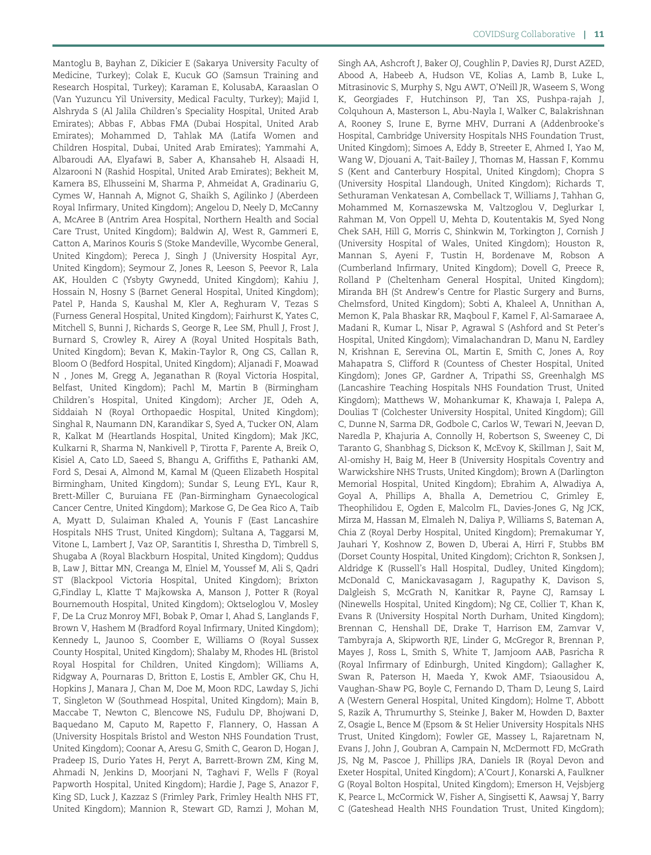Mantoglu B, Bayhan Z, Dikicier E (Sakarya University Faculty of Medicine, Turkey); Colak E, Kucuk GO (Samsun Training and Research Hospital, Turkey); Karaman E, KolusabA, Karaaslan O (Van Yuzuncu Yil University, Medical Faculty, Turkey); Majid I, Alshryda S (Al Jalila Children's Speciality Hospital, United Arab Emirates); Abbas F, Abbas FMA (Dubai Hospital, United Arab Emirates); Mohammed D, Tahlak MA (Latifa Women and Children Hospital, Dubai, United Arab Emirates); Yammahi A, Albaroudi AA, Elyafawi B, Saber A, Khansaheb H, Alsaadi H, Alzarooni N (Rashid Hospital, United Arab Emirates); Bekheit M, Kamera BS, Elhusseini M, Sharma P, Ahmeidat A, Gradinariu G, Cymes W, Hannah A, Mignot G, Shaikh S, Agilinko J (Aberdeen Royal Infirmary, United Kingdom); Angelou D, Neely D, McCanny A, McAree B (Antrim Area Hospital, Northern Health and Social Care Trust, United Kingdom); Baldwin AJ, West R, Gammeri E, Catton A, Marinos Kouris S (Stoke Mandeville, Wycombe General, United Kingdom); Pereca J, Singh J (University Hospital Ayr, United Kingdom); Seymour Z, Jones R, Leeson S, Peevor R, Lala AK, Houlden C (Ysbyty Gwynedd, United Kingdom); Kahiu J, Hossain N, Hosny S (Barnet General Hospital, United Kingdom); Patel P, Handa S, Kaushal M, Kler A, Reghuram V, Tezas S (Furness General Hospital, United Kingdom); Fairhurst K, Yates C, Mitchell S, Bunni J, Richards S, George R, Lee SM, Phull J, Frost J, Burnard S, Crowley R, Airey A (Royal United Hospitals Bath, United Kingdom); Bevan K, Makin-Taylor R, Ong CS, Callan R, Bloom O (Bedford Hospital, United Kingdom); Aljanadi F, Moawad N , Jones M, Gregg A, Jeganathan R (Royal Victoria Hospital, Belfast, United Kingdom); Pachl M, Martin B (Birmingham Children's Hospital, United Kingdom); Archer JE, Odeh A, Siddaiah N (Royal Orthopaedic Hospital, United Kingdom); Singhal R, Naumann DN, Karandikar S, Syed A, Tucker ON, Alam R, Kalkat M (Heartlands Hospital, United Kingdom); Mak JKC, Kulkarni R, Sharma N, Nankivell P, Tirotta F, Parente A, Breik O, Kisiel A, Cato LD, Saeed S, Bhangu A, Griffiths E, Pathanki AM, Ford S, Desai A, Almond M, Kamal M (Queen Elizabeth Hospital Birmingham, United Kingdom); Sundar S, Leung EYL, Kaur R, Brett-Miller C, Buruiana FE (Pan-Birmingham Gynaecological Cancer Centre, United Kingdom); Markose G, De Gea Rico A, Taib A, Myatt D, Sulaiman Khaled A, Younis F (East Lancashire Hospitals NHS Trust, United Kingdom); Sultana A, Taggarsi M, Vitone L, Lambert J, Vaz OP, Sarantitis I, Shrestha D, Timbrell S, Shugaba A (Royal Blackburn Hospital, United Kingdom); Quddus B, Law J, Bittar MN, Creanga M, Elniel M, Youssef M, Ali S, Qadri ST (Blackpool Victoria Hospital, United Kingdom); Brixton G,Findlay L, Klatte T Majkowska A, Manson J, Potter R (Royal Bournemouth Hospital, United Kingdom); Oktseloglou V, Mosley F, De La Cruz Monroy MFI, Bobak P, Omar I, Ahad S, Langlands F, Brown V, Hashem M (Bradford Royal Infirmary, United Kingdom); Kennedy L, Jaunoo S, Coomber E, Williams O (Royal Sussex County Hospital, United Kingdom); Shalaby M, Rhodes HL (Bristol Royal Hospital for Children, United Kingdom); Williams A, Ridgway A, Pournaras D, Britton E, Lostis E, Ambler GK, Chu H, Hopkins J, Manara J, Chan M, Doe M, Moon RDC, Lawday S, Jichi T, Singleton W (Southmead Hospital, United Kingdom); Main B, Maccabe T, Newton C, Blencowe NS, Fudulu DP, Bhojwani D, Baquedano M, Caputo M, Rapetto F, Flannery, O, Hassan A (University Hospitals Bristol and Weston NHS Foundation Trust, United Kingdom); Coonar A, Aresu G, Smith C, Gearon D, Hogan J, Pradeep IS, Durio Yates H, Peryt A, Barrett-Brown ZM, King M, Ahmadi N, Jenkins D, Moorjani N, Taghavi F, Wells F (Royal Papworth Hospital, United Kingdom); Hardie J, Page S, Anazor F, King SD, Luck J, Kazzaz S (Frimley Park, Frimley Health NHS FT, United Kingdom); Mannion R, Stewart GD, Ramzi J, Mohan M,

Singh AA, Ashcroft J, Baker OJ, Coughlin P, Davies RJ, Durst AZED, Abood A, Habeeb A, Hudson VE, Kolias A, Lamb B, Luke L, Mitrasinovic S, Murphy S, Ngu AWT, O'Neill JR, Waseem S, Wong K, Georgiades F, Hutchinson PJ, Tan XS, Pushpa-rajah J, Colquhoun A, Masterson L, Abu-Nayla I, Walker C, Balakrishnan A, Rooney S, Irune E, Byrne MHV, Durrani A (Addenbrooke's Hospital, Cambridge University Hospitals NHS Foundation Trust, United Kingdom); Simoes A, Eddy B, Streeter E, Ahmed I, Yao M, Wang W, Djouani A, Tait-Bailey J, Thomas M, Hassan F, Kommu S (Kent and Canterbury Hospital, United Kingdom); Chopra S (University Hospital Llandough, United Kingdom); Richards T, Sethuraman Venkatesan A, Combellack T, Williams J, Tahhan G, Mohammed M, Kornaszewska M, Valtzoglou V, Deglurkar I, Rahman M, Von Oppell U, Mehta D, Koutentakis M, Syed Nong Chek SAH, Hill G, Morris C, Shinkwin M, Torkington J, Cornish J (University Hospital of Wales, United Kingdom); Houston R, Mannan S, Ayeni F, Tustin H, Bordenave M, Robson A (Cumberland Infirmary, United Kingdom); Dovell G, Preece R, Rolland P (Cheltenham General Hospital, United Kingdom); Miranda BH (St Andrew's Centre for Plastic Surgery and Burns, Chelmsford, United Kingdom); Sobti A, Khaleel A, Unnithan A, Memon K, Pala Bhaskar RR, Maqboul F, Kamel F, Al-Samaraee A, Madani R, Kumar L, Nisar P, Agrawal S (Ashford and St Peter's Hospital, United Kingdom); Vimalachandran D, Manu N, Eardley N, Krishnan E, Serevina OL, Martin E, Smith C, Jones A, Roy Mahapatra S, Clifford R (Countess of Chester Hospital, United Kingdom); Jones GP, Gardner A, Tripathi SS, Greenhalgh MS (Lancashire Teaching Hospitals NHS Foundation Trust, United Kingdom); Matthews W, Mohankumar K, Khawaja I, Palepa A, Doulias T (Colchester University Hospital, United Kingdom); Gill C, Dunne N, Sarma DR, Godbole C, Carlos W, Tewari N, Jeevan D, Naredla P, Khajuria A, Connolly H, Robertson S, Sweeney C, Di Taranto G, Shanbhag S, Dickson K, McEvoy K, Skillman J, Sait M, Al-omishy H, Baig M, Heer B (University Hospitals Coventry and Warwickshire NHS Trusts, United Kingdom); Brown A (Darlington Memorial Hospital, United Kingdom); Ebrahim A, Alwadiya A, Goyal A, Phillips A, Bhalla A, Demetriou C, Grimley E, Theophilidou E, Ogden E, Malcolm FL, Davies-Jones G, Ng JCK, Mirza M, Hassan M, Elmaleh N, Daliya P, Williams S, Bateman A, Chia Z (Royal Derby Hospital, United Kingdom); Premakumar Y, Jauhari Y, Koshnow Z, Bowen D, Uberai A, Hirri F, Stubbs BM (Dorset County Hospital, United Kingdom); Crichton R, Sonksen J, Aldridge K (Russell's Hall Hospital, Dudley, United Kingdom); McDonald C, Manickavasagam J, Ragupathy K, Davison S, Dalgleish S, McGrath N, Kanitkar R, Payne CJ, Ramsay L (Ninewells Hospital, United Kingdom); Ng CE, Collier T, Khan K, Evans R (University Hospital North Durham, United Kingdom); Brennan C, Henshall DE, Drake T, Harrison EM, Zamvar V, Tambyraja A, Skipworth RJE, Linder G, McGregor R, Brennan P, Mayes J, Ross L, Smith S, White T, Jamjoom AAB, Pasricha R (Royal Infirmary of Edinburgh, United Kingdom); Gallagher K, Swan R, Paterson H, Maeda Y, Kwok AMF, Tsiaousidou A, Vaughan-Shaw PG, Boyle C, Fernando D, Tham D, Leung S, Laird A (Western General Hospital, United Kingdom); Holme T, Abbott S, Razik A, Thrumurthy S, Steinke J, Baker M, Howden D, Baxter Z, Osagie L, Bence M (Epsom & St Helier University Hospitals NHS Trust, United Kingdom); Fowler GE, Massey L, Rajaretnam N, Evans J, John J, Goubran A, Campain N, McDermott FD, McGrath JS, Ng M, Pascoe J, Phillips JRA, Daniels IR (Royal Devon and Exeter Hospital, United Kingdom); A'Court J, Konarski A, Faulkner G (Royal Bolton Hospital, United Kingdom); Emerson H, Vejsbjerg K, Pearce L, McCormick W, Fisher A, Singisetti K, Aawsaj Y, Barry C (Gateshead Health NHS Foundation Trust, United Kingdom);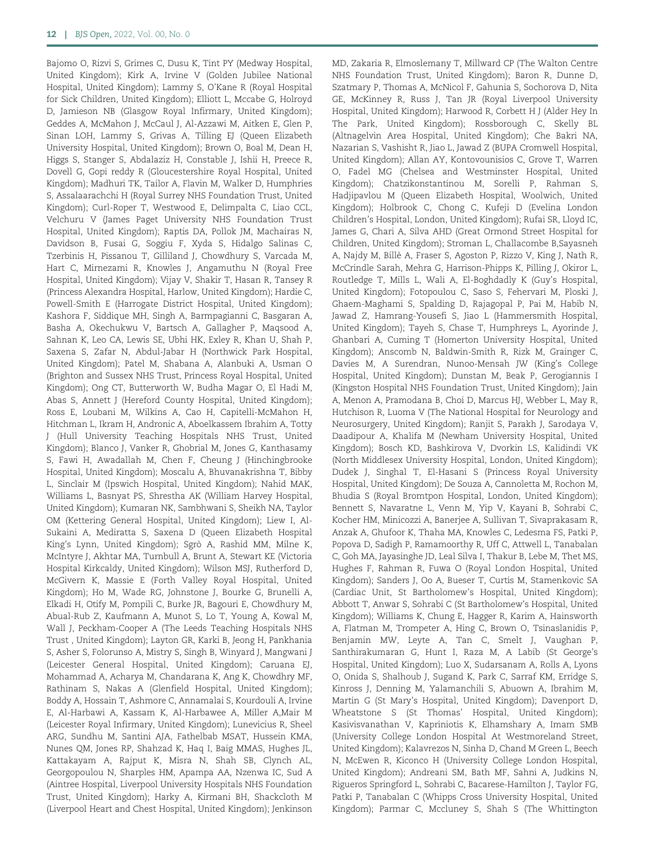Bajomo O, Rizvi S, Grimes C, Dusu K, Tint PY (Medway Hospital, United Kingdom); Kirk A, Irvine V (Golden Jubilee National Hospital, United Kingdom); Lammy S, O'Kane R (Royal Hospital for Sick Children, United Kingdom); Elliott L, Mccabe G, Holroyd D, Jamieson NB (Glasgow Royal Infirmary, United Kingdom); Geddes A, McMahon J, McCaul J, Al-Azzawi M, Aitken E, Glen P, Sinan LOH, Lammy S, Grivas A, Tilling EJ (Queen Elizabeth University Hospital, United Kingdom); Brown O, Boal M, Dean H, Higgs S, Stanger S, Abdalaziz H, Constable J, Ishii H, Preece R, Dovell G, Gopi reddy R (Gloucestershire Royal Hospital, United Kingdom); Madhuri TK, Tailor A, Flavin M, Walker D, Humphries S, Assalaarachchi H (Royal Surrey NHS Foundation Trust, United Kingdom); Curl-Roper T, Westwood E, Delimpalta C, Liao CCL, Velchuru V (James Paget University NHS Foundation Trust Hospital, United Kingdom); Raptis DA, Pollok JM, Machairas N, Davidson B, Fusai G, Soggiu F, Xyda S, Hidalgo Salinas C, Tzerbinis H, Pissanou T, Gilliland J, Chowdhury S, Varcada M, Hart C, Mirnezami R, Knowles J, Angamuthu N (Royal Free Hospital, United Kingdom); Vijay V, Shakir T, Hasan R, Tansey R (Princess Alexandra Hospital, Harlow, United Kingdom); Hardie C, Powell-Smith E (Harrogate District Hospital, United Kingdom); Kashora F, Siddique MH, Singh A, Barmpagianni C, Basgaran A, Basha A, Okechukwu V, Bartsch A, Gallagher P, Maqsood A, Sahnan K, Leo CA, Lewis SE, Ubhi HK, Exley R, Khan U, Shah P, Saxena S, Zafar N, Abdul-Jabar H (Northwick Park Hospital, United Kingdom); Patel M, Shabana A, Alanbuki A, Usman O (Brighton and Sussex NHS Trust, Princess Royal Hospital, United Kingdom); Ong CT, Butterworth W, Budha Magar O, El Hadi M, Abas S, Annett J (Hereford County Hospital, United Kingdom); Ross E, Loubani M, Wilkins A, Cao H, Capitelli-McMahon H, Hitchman L, Ikram H, Andronic A, Aboelkassem Ibrahim A, Totty J (Hull University Teaching Hospitals NHS Trust, United Kingdom); Blanco J, Vanker R, Ghobrial M, Jones G, Kanthasamy S, Fawi H, Awadallah M, Chen F, Cheung J (Hinchingbrooke Hospital, United Kingdom); Moscalu A, Bhuvanakrishna T, Bibby L, Sinclair M (Ipswich Hospital, United Kingdom); Nahid MAK, Williams L, Basnyat PS, Shrestha AK (William Harvey Hospital, United Kingdom); Kumaran NK, Sambhwani S, Sheikh NA, Taylor OM (Kettering General Hospital, United Kingdom); Liew I, Al-Sukaini A, Mediratta S, Saxena D (Queen Elizabeth Hospital King's Lynn, United Kingdom); Sgrò A, Rashid MM, Milne K, McIntyre J, Akhtar MA, Turnbull A, Brunt A, Stewart KE (Victoria Hospital Kirkcaldy, United Kingdom); Wilson MSJ, Rutherford D, McGivern K, Massie E (Forth Valley Royal Hospital, United Kingdom); Ho M, Wade RG, Johnstone J, Bourke G, Brunelli A, Elkadi H, Otify M, Pompili C, Burke JR, Bagouri E, Chowdhury M, Abual-Rub Z, Kaufmann A, Munot S, Lo T, Young A, Kowal M, Wall J, Peckham-Cooper A (The Leeds Teaching Hospitals NHS Trust , United Kingdom); Layton GR, Karki B, Jeong H, Pankhania S, Asher S, Folorunso A, Mistry S, Singh B, Winyard J, Mangwani J (Leicester General Hospital, United Kingdom); Caruana EJ, Mohammad A, Acharya M, Chandarana K, Ang K, Chowdhry MF, Rathinam S, Nakas A (Glenfield Hospital, United Kingdom); Boddy A, Hossain T, Ashmore C, Annamalai S, Kourdouli A, Irvine E, Al-Harbawi A, Kassam K, Al-Harbawee A, Miller A,Mair M (Leicester Royal Infirmary, United Kingdom); Lunevicius R, Sheel ARG, Sundhu M, Santini AJA, Fathelbab MSAT, Hussein KMA, Nunes QM, Jones RP, Shahzad K, Haq I, Baig MMAS, Hughes JL, Kattakayam A, Rajput K, Misra N, Shah SB, Clynch AL, Georgopoulou N, Sharples HM, Apampa AA, Nzenwa IC, Sud A (Aintree Hospital, Liverpool University Hospitals NHS Foundation Trust, United Kingdom); Harky A, Kirmani BH, Shackcloth M (Liverpool Heart and Chest Hospital, United Kingdom); Jenkinson

MD, Zakaria R, Elmoslemany T, Millward CP (The Walton Centre NHS Foundation Trust, United Kingdom); Baron R, Dunne D, Szatmary P, Thomas A, McNicol F, Gahunia S, Sochorova D, Nita GE, McKinney R, Russ J, Tan JR (Royal Liverpool University Hospital, United Kingdom); Harwood R, Corbett H J (Alder Hey In The Park, United Kingdom); Rossborough C, Skelly BL (Altnagelvin Area Hospital, United Kingdom); Che Bakri NA, Nazarian S, Vashisht R, Jiao L, Jawad Z (BUPA Cromwell Hospital, United Kingdom); Allan AY, Kontovounisios C, Grove T, Warren O, Fadel MG (Chelsea and Westminster Hospital, United Kingdom); Chatzikonstantinou M, Sorelli P, Rahman S, Hadjipavlou M (Queen Elizabeth Hospital, Woolwich, United Kingdom); Holbrook C, Chong C, Kufeji D (Evelina London Children's Hospital, London, United Kingdom); Rufai SR, Lloyd IC, James G, Chari A, Silva AHD (Great Ormond Street Hospital for Children, United Kingdom); Stroman L, Challacombe B,Sayasneh A, Najdy M, Billè A, Fraser S, Agoston P, Rizzo V, King J, Nath R, McCrindle Sarah, Mehra G, Harrison-Phipps K, Pilling J, Okiror L, Routledge T, Mills L, Wali A, El-Boghdadly K (Guy's Hospital, United Kingdom); Fotopoulou C, Saso S, Fehervari M, Ploski J, Ghaem-Maghami S, Spalding D, Rajagopal P, Pai M, Habib N, Jawad Z, Hamrang-Yousefi S, Jiao L (Hammersmith Hospital, United Kingdom); Tayeh S, Chase T, Humphreys L, Ayorinde J, Ghanbari A, Cuming T (Homerton University Hospital, United Kingdom); Anscomb N, Baldwin-Smith R, Rizk M, Grainger C, Davies M, A Surendran, Nunoo-Mensah JW (King's College Hospital, United Kingdom); Dunstan M, Beak P, Gerogiannis I (Kingston Hospital NHS Foundation Trust, United Kingdom); Jain A, Menon A, Pramodana B, Choi D, Marcus HJ, Webber L, May R, Hutchison R, Luoma V (The National Hospital for Neurology and Neurosurgery, United Kingdom); Ranjit S, Parakh J, Sarodaya V, Daadipour A, Khalifa M (Newham University Hospital, United Kingdom); Bosch KD, Bashkirova V, Dvorkin LS, Kalidindi VK (North Middlesex University Hospital, London, United Kingdom); Dudek J, Singhal T, El-Hasani S (Princess Royal University Hospital, United Kingdom); De Souza A, Cannoletta M, Rochon M, Bhudia S (Royal Bromtpon Hospital, London, United Kingdom); Bennett S, Navaratne L, Venn M, Yip V, Kayani B, Sohrabi C, Kocher HM, Minicozzi A, Banerjee A, Sullivan T, Sivaprakasam R, Anzak A, Ghufoor K, Thaha MA, Knowles C, Ledesma FS, Patki P, Popova D, Sadigh P, Ramamoorthy R, Uff C, Attwell L, Tanabalan C, Goh MA, Jayasinghe JD, Leal Silva I, Thakur B, Lebe M, Thet MS, Hughes F, Rahman R, Fuwa O (Royal London Hospital, United Kingdom); Sanders J, Oo A, Bueser T, Curtis M, Stamenkovic SA (Cardiac Unit, St Bartholomew's Hospital, United Kingdom); Abbott T, Anwar S, Sohrabi C (St Bartholomew's Hospital, United Kingdom); Williams K, Chung E, Hagger R, Karim A, Hainsworth A, Flatman M, Trompeter A, Hing C, Brown O, Tsinaslanidis P, Benjamin MW, Leyte A, Tan C, Smelt J, Vaughan P, Santhirakumaran G, Hunt I, Raza M, A Labib (St George's Hospital, United Kingdom); Luo X, Sudarsanam A, Rolls A, Lyons O, Onida S, Shalhoub J, Sugand K, Park C, Sarraf KM, Erridge S, Kinross J, Denning M, Yalamanchili S, Abuown A, Ibrahim M, Martin G (St Mary's Hospital, United Kingdom); Davenport D, Wheatstone S (St Thomas' Hospital, United Kingdom); Kasivisvanathan V, Kapriniotis K, Elhamshary A, Imam SMB (University College London Hospital At Westmoreland Street, United Kingdom); Kalavrezos N, Sinha D, Chand M Green L, Beech N, McEwen R, Kiconco H (University College London Hospital, United Kingdom); Andreani SM, Bath MF, Sahni A, Judkins N, Rigueros Springford L, Sohrabi C, Bacarese-Hamilton J, Taylor FG, Patki P, Tanabalan C (Whipps Cross University Hospital, United Kingdom); Parmar C, Mccluney S, Shah S (The Whittington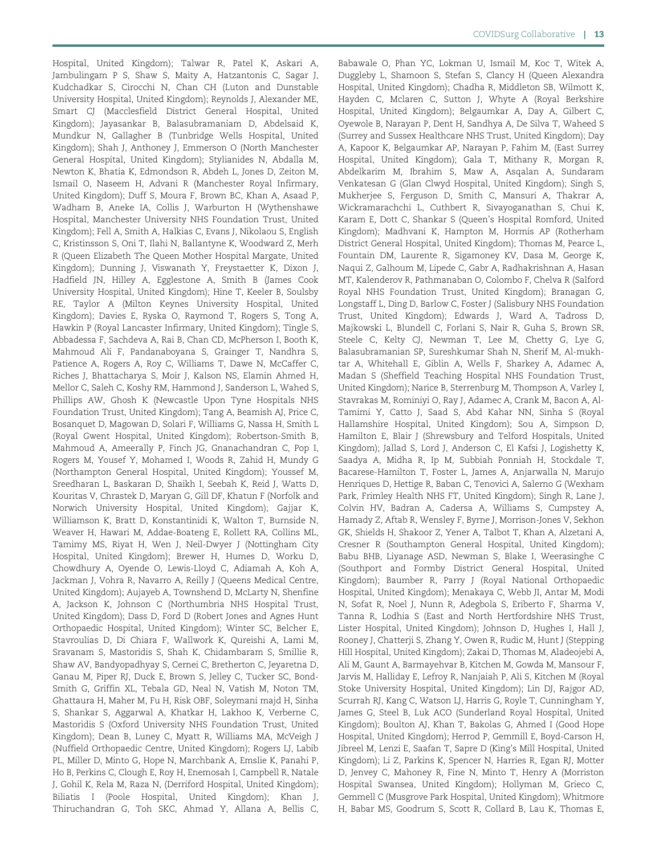Hospital, United Kingdom); Talwar R, Patel K, Askari A, Jambulingam P S, Shaw S, Maity A, Hatzantonis C, Sagar J, Kudchadkar S, Cirocchi N, Chan CH (Luton and Dunstable University Hospital, United Kingdom); Reynolds J, Alexander ME, Smart CJ (Macclesfield District General Hospital, United Kingdom); Jayasankar B, Balasubramaniam D, Abdelsaid K, Mundkur N, Gallagher B (Tunbridge Wells Hospital, United Kingdom); Shah J, Anthoney J, Emmerson O (North Manchester General Hospital, United Kingdom); Stylianides N, Abdalla M, Newton K, Bhatia K, Edmondson R, Abdeh L, Jones D, Zeiton M, Ismail O, Naseem H, Advani R (Manchester Royal Infirmary, United Kingdom); Duff S, Moura F, Brown BC, Khan A, Asaad P, Wadham B, Aneke IA, Collis J, Warburton H (Wythenshawe Hospital, Manchester University NHS Foundation Trust, United Kingdom); Fell A, Smith A, Halkias C, Evans J, Nikolaou S, English C, Kristinsson S, Oni T, Ilahi N, Ballantyne K, Woodward Z, Merh R (Queen Elizabeth The Queen Mother Hospital Margate, United Kingdom); Dunning J, Viswanath Y, Freystaetter K, Dixon J, Hadfield JN, Hilley A, Egglestone A, Smith B (James Cook University Hospital, United Kingdom); Hine T, Keeler B, Soulsby RE, Taylor A (Milton Keynes University Hospital, United Kingdom); Davies E, Ryska O, Raymond T, Rogers S, Tong A, Hawkin P (Royal Lancaster Infirmary, United Kingdom); Tingle S, Abbadessa F, Sachdeva A, Rai B, Chan CD, McPherson I, Booth K, Mahmoud Ali F, Pandanaboyana S, Grainger T, Nandhra S, Patience A, Rogers A, Roy C, Williams T, Dawe N, McCaffer C, Riches J, Bhattacharya S, Moir J, Kalson NS, Elamin Ahmed H, Mellor C, Saleh C, Koshy RM, Hammond J, Sanderson L, Wahed S, Phillips AW, Ghosh K (Newcastle Upon Tyne Hospitals NHS Foundation Trust, United Kingdom); Tang A, Beamish AJ, Price C, Bosanquet D, Magowan D, Solari F, Williams G, Nassa H, Smith L (Royal Gwent Hospital, United Kingdom); Robertson-Smith B, Mahmoud A, Ameerally P, Finch JG, Gnanachandran C, Pop I, Rogers M, Yousef Y, Mohamed I, Woods R, Zahid H, Mundy G (Northampton General Hospital, United Kingdom); Youssef M, Sreedharan L, Baskaran D, Shaikh I, Seebah K, Reid J, Watts D, Kouritas V, Chrastek D, Maryan G, Gill DF, Khatun F (Norfolk and Norwich University Hospital, United Kingdom); Gajjar K, Williamson K, Bratt D, Konstantinidi K, Walton T, Burnside N, Weaver H, Hawari M, Addae-Boateng E, Rollett RA, Collins ML, Tamimy MS, Riyat H, Wen J, Neil-Dwyer J (Nottingham City Hospital, United Kingdom); Brewer H, Humes D, Worku D, Chowdhury A, Oyende O, Lewis-Lloyd C, Adiamah A, Koh A, Jackman J, Vohra R, Navarro A, Reilly J (Queens Medical Centre, United Kingdom); Aujayeb A, Townshend D, McLarty N, Shenfine A, Jackson K, Johnson C (Northumbria NHS Hospital Trust, United Kingdom); Dass D, Ford D (Robert Jones and Agnes Hunt Orthopaedic Hospital, United Kingdom); Winter SC, Belcher E, Stavroulias D, Di Chiara F, Wallwork K, Qureishi A, Lami M, Sravanam S, Mastoridis S, Shah K, Chidambaram S, Smillie R, Shaw AV, Bandyopadhyay S, Cernei C, Bretherton C, Jeyaretna D, Ganau M, Piper RJ, Duck E, Brown S, Jelley C, Tucker SC, Bond-Smith G, Griffin XL, Tebala GD, Neal N, Vatish M, Noton TM, Ghattaura H, Maher M, Fu H, Risk OBF, Soleymani majd H, Sinha S, Shankar S, Aggarwal A, Khatkar H, Lakhoo K, Verberne C, Mastoridis S (Oxford University NHS Foundation Trust, United Kingdom); Dean B, Luney C, Myatt R, Williams MA, McVeigh J (Nuffield Orthopaedic Centre, United Kingdom); Rogers LJ, Labib PL, Miller D, Minto G, Hope N, Marchbank A, Emslie K, Panahi P, Ho B, Perkins C, Clough E, Roy H, Enemosah I, Campbell R, Natale J, Gohil K, Rela M, Raza N, (Derriford Hospital, United Kingdom); Biliatis I (Poole Hospital, United Kingdom); Khan J, Thiruchandran G, Toh SKC, Ahmad Y, Allana A, Bellis C,

Babawale O, Phan YC, Lokman U, Ismail M, Koc T, Witek A, Duggleby L, Shamoon S, Stefan S, Clancy H (Queen Alexandra Hospital, United Kingdom); Chadha R, Middleton SB, Wilmott K, Hayden C, Mclaren C, Sutton J, Whyte A (Royal Berkshire Hospital, United Kingdom); Belgaumkar A, Day A, Gilbert C, Oyewole B, Narayan P, Dent H, Sandhya A, De Silva T, Waheed S (Surrey and Sussex Healthcare NHS Trust, United Kingdom); Day A, Kapoor K, Belgaumkar AP, Narayan P, Fahim M, (East Surrey Hospital, United Kingdom); Gala T, Mithany R, Morgan R, Abdelkarim M, Ibrahim S, Maw A, Asqalan A, Sundaram Venkatesan G (Glan Clwyd Hospital, United Kingdom); Singh S, Mukherjee S, Ferguson D, Smith C, Mansuri A, Thakrar A, Wickramarachchi L, Cuthbert R, Sivayoganathan S, Chui K, Karam E, Dott C, Shankar S (Queen's Hospital Romford, United Kingdom); Madhvani K, Hampton M, Hormis AP (Rotherham District General Hospital, United Kingdom); Thomas M, Pearce L, Fountain DM, Laurente R, Sigamoney KV, Dasa M, George K, Naqui Z, Galhoum M, Lipede C, Gabr A, Radhakrishnan A, Hasan MT, Kalenderov R, Pathmanaban O, Colombo F, Chelva R (Salford Royal NHS Foundation Trust, United Kingdom); Branagan G, Longstaff L, Ding D, Barlow C, Foster J (Salisbury NHS Foundation Trust, United Kingdom); Edwards J, Ward A, Tadross D, Majkowski L, Blundell C, Forlani S, Nair R, Guha S, Brown SR, Steele C, Kelty CJ, Newman T, Lee M, Chetty G, Lye G, Balasubramanian SP, Sureshkumar Shah N, Sherif M, Al-mukhtar A, Whitehall E, Giblin A, Wells F, Sharkey A, Adamec A, Madan S (Sheffield Teaching Hospital NHS Foundation Trust, United Kingdom); Narice B, Sterrenburg M, Thompson A, Varley I, Stavrakas M, Rominiyi O, Ray J, Adamec A, Crank M, Bacon A, Al-Tamimi Y, Catto J, Saad S, Abd Kahar NN, Sinha S (Royal Hallamshire Hospital, United Kingdom); Sou A, Simpson D, Hamilton E, Blair J (Shrewsbury and Telford Hospitals, United Kingdom); Jallad S, Lord J, Anderson C, El Kafsi J, Logishetty K, Saadya A, Midha R, Ip M, Subbiah Ponniah H, Stockdale T, Bacarese-Hamilton T, Foster L, James A, Anjarwalla N, Marujo Henriques D, Hettige R, Baban C, Tenovici A, Salerno G (Wexham Park, Frimley Health NHS FT, United Kingdom); Singh R, Lane J, Colvin HV, Badran A, Cadersa A, Williams S, Cumpstey A, Hamady Z, Aftab R, Wensley F, Byrne J, Morrison-Jones V, Sekhon GK, Shields H, Shakoor Z, Yener A, Talbot T, Khan A, Alzetani A, Cresner R (Southampton General Hospital, United Kingdom); Babu BHB, Liyanage ASD, Newman S, Blake I, Weerasinghe C (Southport and Formby District General Hospital, United Kingdom); Baumber R, Parry J (Royal National Orthopaedic Hospital, United Kingdom); Menakaya C, Webb JI, Antar M, Modi N, Sofat R, Noel J, Nunn R, Adegbola S, Eriberto F, Sharma V, Tanna R, Lodhia S (East and North Hertfordshire NHS Trust, Lister Hospital, United Kingdom); Johnson D, Hughes I, Hall J, Rooney J, Chatterji S, Zhang Y, Owen R, Rudic M, Hunt J (Stepping Hill Hospital, United Kingdom); Zakai D, Thomas M, Aladeojebi A, Ali M, Gaunt A, Barmayehvar B, Kitchen M, Gowda M, Mansour F, Jarvis M, Halliday E, Lefroy R, Nanjaiah P, Ali S, Kitchen M (Royal Stoke University Hospital, United Kingdom); Lin DJ, Rajgor AD, Scurrah RJ, Kang C, Watson LJ, Harris G, Royle T, Cunningham Y, James G, Steel B, Luk ACO (Sunderland Royal Hospital, United Kingdom); Boulton AJ, Khan T, Bakolas G, Ahmed I (Good Hope Hospital, United Kingdom); Herrod P, Gemmill E, Boyd-Carson H, Jibreel M, Lenzi E, Saafan T, Sapre D (King's Mill Hospital, United Kingdom); Li Z, Parkins K, Spencer N, Harries R, Egan RJ, Motter D, Jenvey C, Mahoney R, Fine N, Minto T, Henry A (Morriston Hospital Swansea, United Kingdom); Hollyman M, Grieco C, Gemmell C (Musgrove Park Hospital, United Kingdom); Whitmore H, Babar MS, Goodrum S, Scott R, Collard B, Lau K, Thomas E,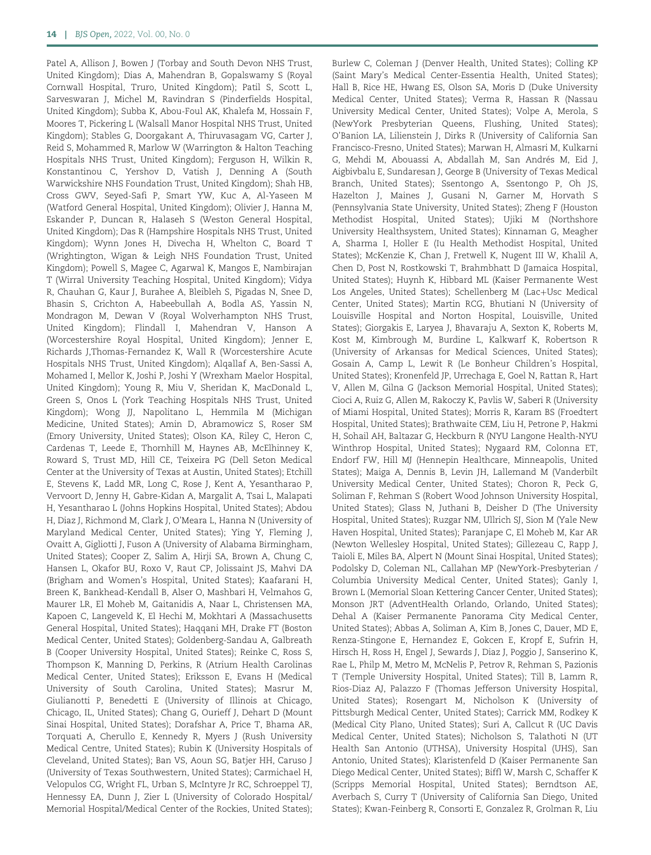Patel A, Allison J, Bowen J (Torbay and South Devon NHS Trust, United Kingdom); Dias A, Mahendran B, Gopalswamy S (Royal Cornwall Hospital, Truro, United Kingdom); Patil S, Scott L, Sarveswaran J, Michel M, Ravindran S (Pinderfields Hospital, United Kingdom); Subba K, Abou-Foul AK, Khalefa M, Hossain F, Moores T, Pickering L (Walsall Manor Hospital NHS Trust, United Kingdom); Stables G, Doorgakant A, Thiruvasagam VG, Carter J, Reid S, Mohammed R, Marlow W (Warrington & Halton Teaching Hospitals NHS Trust, United Kingdom); Ferguson H, Wilkin R, Konstantinou C, Yershov D, Vatish J, Denning A (South Warwickshire NHS Foundation Trust, United Kingdom); Shah HB, Cross GWV, Seyed-Safi P, Smart YW, Kuc A, Al-Yaseen M (Watford General Hospital, United Kingdom); Olivier J, Hanna M, Eskander P, Duncan R, Halaseh S (Weston General Hospital, United Kingdom); Das R (Hampshire Hospitals NHS Trust, United Kingdom); Wynn Jones H, Divecha H, Whelton C, Board T (Wrightington, Wigan & Leigh NHS Foundation Trust, United Kingdom); Powell S, Magee C, Agarwal K, Mangos E, Nambirajan T (Wirral University Teaching Hospital, United Kingdom); Vidya R, Chauhan G, Kaur J, Burahee A, Bleibleh S, Pigadas N, Snee D, Bhasin S, Crichton A, Habeebullah A, Bodla AS, Yassin N, Mondragon M, Dewan V (Royal Wolverhampton NHS Trust, United Kingdom); Flindall I, Mahendran V, Hanson A (Worcestershire Royal Hospital, United Kingdom); Jenner E, Richards J,Thomas-Fernandez K, Wall R (Worcestershire Acute Hospitals NHS Trust, United Kingdom); Alqallaf A, Ben-Sassi A, Mohamed I, Mellor K, Joshi P, Joshi Y (Wrexham Maelor Hospital, United Kingdom); Young R, Miu V, Sheridan K, MacDonald L, Green S, Onos L (York Teaching Hospitals NHS Trust, United Kingdom); Wong JJ, Napolitano L, Hemmila M (Michigan Medicine, United States); Amin D, Abramowicz S, Roser SM (Emory University, United States); Olson KA, Riley C, Heron C, Cardenas T, Leede E, Thornhill M, Haynes AB, McElhinney K, Roward S, Trust MD, Hill CE, Teixeira PG (Dell Seton Medical Center at the University of Texas at Austin, United States); Etchill E, Stevens K, Ladd MR, Long C, Rose J, Kent A, Yesantharao P, Vervoort D, Jenny H, Gabre-Kidan A, Margalit A, Tsai L, Malapati H, Yesantharao L (Johns Hopkins Hospital, United States); Abdou H, Diaz J, Richmond M, Clark J, O'Meara L, Hanna N (University of Maryland Medical Center, United States); Ying Y, Fleming J, Ovaitt A, Gigliotti J, Fuson A (University of Alabama Birmingham, United States); Cooper Z, Salim A, Hirji SA, Brown A, Chung C, Hansen L, Okafor BU, Roxo V, Raut CP, Jolissaint JS, Mahvi DA (Brigham and Women's Hospital, United States); Kaafarani H, Breen K, Bankhead-Kendall B, Alser O, Mashbari H, Velmahos G, Maurer LR, El Moheb M, Gaitanidis A, Naar L, Christensen MA, Kapoen C, Langeveld K, El Hechi M, Mokhtari A (Massachusetts General Hospital, United States); Haqqani MH, Drake FT (Boston Medical Center, United States); Goldenberg-Sandau A, Galbreath B (Cooper University Hospital, United States); Reinke C, Ross S, Thompson K, Manning D, Perkins, R (Atrium Health Carolinas Medical Center, United States); Eriksson E, Evans H (Medical University of South Carolina, United States); Masrur M, Giulianotti P, Benedetti E (University of Illinois at Chicago, Chicago, IL, United States); Chang G, Ourieff J, Dehart D (Mount Sinai Hospital, United States); Dorafshar A, Price T, Bhama AR, Torquati A, Cherullo E, Kennedy R, Myers J (Rush University Medical Centre, United States); Rubin K (University Hospitals of Cleveland, United States); Ban VS, Aoun SG, Batjer HH, Caruso J (University of Texas Southwestern, United States); Carmichael H, Velopulos CG, Wright FL, Urban S, McIntyre Jr RC, Schroeppel TJ, Hennessy EA, Dunn J, Zier L (University of Colorado Hospital/ Memorial Hospital/Medical Center of the Rockies, United States); Burlew C, Coleman J (Denver Health, United States); Colling KP (Saint Mary's Medical Center-Essentia Health, United States); Hall B, Rice HE, Hwang ES, Olson SA, Moris D (Duke University Medical Center, United States); Verma R, Hassan R (Nassau University Medical Center, United States); Volpe A, Merola, S (NewYork Presbyterian Queens, Flushing, United States); O'Banion LA, Lilienstein J, Dirks R (University of California San Francisco-Fresno, United States); Marwan H, Almasri M, Kulkarni G, Mehdi M, Abouassi A, Abdallah M, San Andrés M, Eid J, Aigbivbalu E, Sundaresan J, George B (University of Texas Medical Branch, United States); Ssentongo A, Ssentongo P, Oh JS, Hazelton J, Maines J, Gusani N, Garner M, Horvath S (Pennsylvania State University, United States); Zheng F (Houston Methodist Hospital, United States); Ujiki M (Northshore University Healthsystem, United States); Kinnaman G, Meagher A, Sharma I, Holler E (Iu Health Methodist Hospital, United States); McKenzie K, Chan J, Fretwell K, Nugent III W, Khalil A, Chen D, Post N, Rostkowski T, Brahmbhatt D (Jamaica Hospital, United States); Huynh K, Hibbard ML (Kaiser Permanente West Los Angeles, United States); Schellenberg M (Lac+Usc Medical Center, United States); Martin RCG, Bhutiani N (University of Louisville Hospital and Norton Hospital, Louisville, United States); Giorgakis E, Laryea J, Bhavaraju A, Sexton K, Roberts M, Kost M, Kimbrough M, Burdine L, Kalkwarf K, Robertson R (University of Arkansas for Medical Sciences, United States); Gosain A, Camp L, Lewit R (Le Bonheur Children's Hospital, United States); Kronenfeld JP, Urrechaga E, Goel N, Rattan R, Hart V, Allen M, Gilna G (Jackson Memorial Hospital, United States); Cioci A, Ruiz G, Allen M, Rakoczy K, Pavlis W, Saberi R (University of Miami Hospital, United States); Morris R, Karam BS (Froedtert Hospital, United States); Brathwaite CEM, Liu H, Petrone P, Hakmi H, Sohail AH, Baltazar G, Heckburn R (NYU Langone Health-NYU Winthrop Hospital, United States); Nygaard RM, Colonna ET, Endorf FW, Hill MJ (Hennepin Healthcare, Minneapolis, United States); Maiga A, Dennis B, Levin JH, Lallemand M (Vanderbilt University Medical Center, United States); Choron R, Peck G, Soliman F, Rehman S (Robert Wood Johnson University Hospital, United States); Glass N, Juthani B, Deisher D (The University Hospital, United States); Ruzgar NM, Ullrich SJ, Sion M (Yale New Haven Hospital, United States); Paranjape C, El Moheb M, Kar AR (Newton Wellesley Hospital, United States); Gillezeau C, Rapp J, Taioli E, Miles BA, Alpert N (Mount Sinai Hospital, United States); Podolsky D, Coleman NL, Callahan MP (NewYork-Presbyterian / Columbia University Medical Center, United States); Ganly I, Brown L (Memorial Sloan Kettering Cancer Center, United States); Monson JRT (AdventHealth Orlando, Orlando, United States); Dehal A (Kaiser Permanente Panorama City Medical Center, United States); Abbas A, Soliman A, Kim B, Jones C, Dauer, MD E, Renza-Stingone E, Hernandez E, Gokcen E, Kropf E, Sufrin H, Hirsch H, Ross H, Engel J, Sewards J, Diaz J, Poggio J, Sanserino K, Rae L, Philp M, Metro M, McNelis P, Petrov R, Rehman S, Pazionis T (Temple University Hospital, United States); Till B, Lamm R, Rios-Diaz AJ, Palazzo F (Thomas Jefferson University Hospital, United States); Rosengart M, Nicholson K (University of Pittsburgh Medical Center, United States); Carrick MM, Rodkey K (Medical City Plano, United States); Suri A, Callcut R (UC Davis Medical Center, United States); Nicholson S, Talathoti N (UT Health San Antonio (UTHSA), University Hospital (UHS), San Antonio, United States); Klaristenfeld D (Kaiser Permanente San Diego Medical Center, United States); Biffl W, Marsh C, Schaffer K (Scripps Memorial Hospital, United States); Berndtson AE, Averbach S, Curry T (University of California San Diego, United States); Kwan-Feinberg R, Consorti E, Gonzalez R, Grolman R, Liu